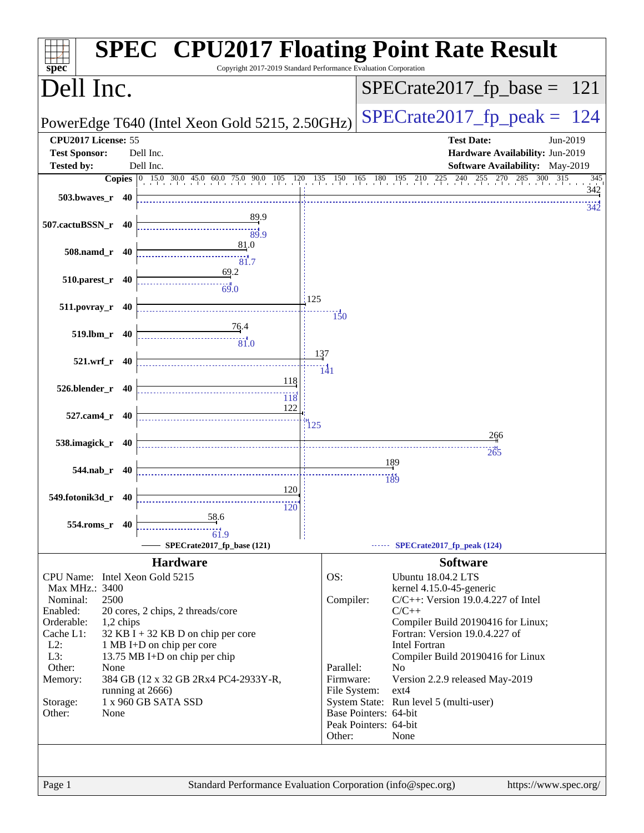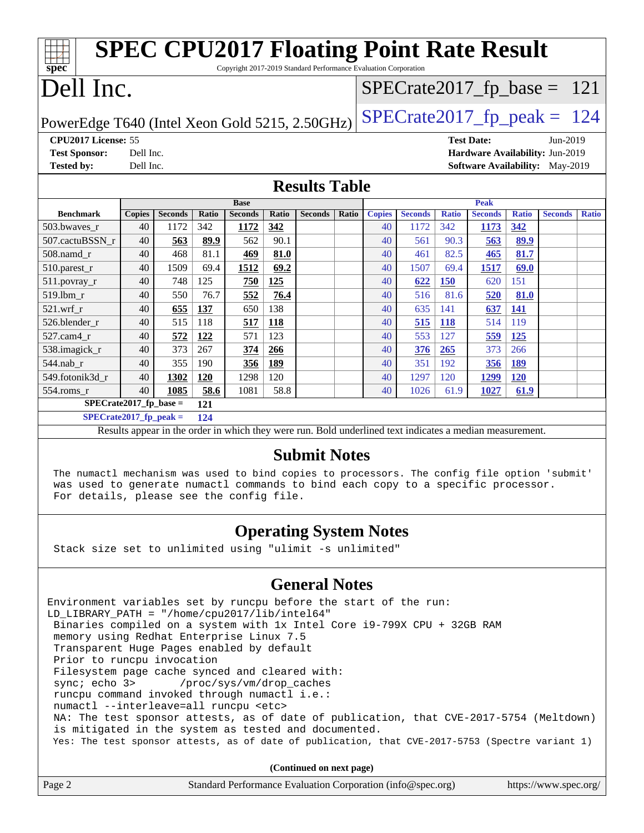| <b>SPEC CPU2017 Floating Point Rate Result</b>                                  |               |                |              |                |              |                      |              |               |                |              |                   |              |                                        |              |
|---------------------------------------------------------------------------------|---------------|----------------|--------------|----------------|--------------|----------------------|--------------|---------------|----------------|--------------|-------------------|--------------|----------------------------------------|--------------|
| spec<br>Copyright 2017-2019 Standard Performance Evaluation Corporation         |               |                |              |                |              |                      |              |               |                |              |                   |              |                                        |              |
| Dell Inc.<br>$SPECrate2017_fp\_base = 121$                                      |               |                |              |                |              |                      |              |               |                |              |                   |              |                                        |              |
| $SPECrate2017_fp\_peak = 124$<br>PowerEdge T640 (Intel Xeon Gold 5215, 2.50GHz) |               |                |              |                |              |                      |              |               |                |              |                   |              |                                        |              |
| CPU2017 License: 55                                                             |               |                |              |                |              |                      |              |               |                |              | <b>Test Date:</b> |              | Jun-2019                               |              |
| <b>Test Sponsor:</b>                                                            | Dell Inc.     |                |              |                |              |                      |              |               |                |              |                   |              | Hardware Availability: Jun-2019        |              |
| <b>Tested by:</b>                                                               | Dell Inc.     |                |              |                |              |                      |              |               |                |              |                   |              | <b>Software Availability:</b> May-2019 |              |
|                                                                                 |               |                |              |                |              | <b>Results Table</b> |              |               |                |              |                   |              |                                        |              |
|                                                                                 |               |                |              | <b>Base</b>    |              |                      |              |               |                |              | <b>Peak</b>       |              |                                        |              |
| <b>Benchmark</b>                                                                | <b>Copies</b> | <b>Seconds</b> | <b>Ratio</b> | <b>Seconds</b> | <b>Ratio</b> | <b>Seconds</b>       | <b>Ratio</b> | <b>Copies</b> | <b>Seconds</b> | <b>Ratio</b> | <b>Seconds</b>    | <b>Ratio</b> | <b>Seconds</b>                         | <b>Ratio</b> |
| 503.bwayes r                                                                    | 40            | 1172           | 342          | 1172           | 342          |                      |              | 40            | 1172           | 342          | 1173              | 342          |                                        |              |
| 507.cactuBSSN r                                                                 | 40            | 563            | 89.9         | 562            | 90.1         |                      |              | 40            | 561            | 90.3         | 563               | 89.9         |                                        |              |
| $508$ .namd $r$                                                                 | 40            | 468            | 81.1         | 469            | 81.0         |                      |              | 40            | 461            | 82.5         | 465               | 81.7         |                                        |              |
| 510.parest_r                                                                    | 40            | 1509           | 69.4         | 1512           | 69.2         |                      |              | 40            | 1507           | 69.4         | 1517              | 69.0         |                                        |              |
| 511.povray_r                                                                    | 40            | 748            | 125          | 750            | 125          |                      |              | 40            | 622            | 150          | 620               | 151          |                                        |              |
| 519.lbm r                                                                       | 40            | 550            | 76.7         | 552            | 76.4         |                      |              | 40            | 516            | 81.6         | 520               | 81.0         |                                        |              |
| $521.wrf$ r                                                                     | 40            | 655            | 137          | 650            | 138          |                      |              | 40            | 635            | 141          | 637               | 141          |                                        |              |
| 526.blender r                                                                   | 40            | 515            | 118          | 517            | 118          |                      |              | 40            | 515            | <b>118</b>   | 514               | 119          |                                        |              |
| 527.cam4 r                                                                      | 40            | 572            | 122          | 571            | 123          |                      |              | 40            | 553            | 127          | 559               | 125          |                                        |              |
| 538.imagick_r                                                                   | 40            | 373            | 267          | 374            | 266          |                      |              | 40            | 376            | 265          | 373               | 266          |                                        |              |
| 544.nab r                                                                       | 40            | 355            | 190          | 356            | 189          |                      |              | 40            | 351            | 192          | <b>356</b>        | 189          |                                        |              |
| 549.fotonik3d r                                                                 | 40            | 1302           | 120          | 1298           | 120          |                      |              | 40            | 1297           | 120          | 1299              | <b>120</b>   |                                        |              |
| 554.roms_r                                                                      | 40            | 1085           | 58.6         | 1081           | 58.8         |                      |              | 40            | 1026           | 61.9         | 1027              | 61.9         |                                        |              |
| $SPECrate2017$ fp base =<br>121                                                 |               |                |              |                |              |                      |              |               |                |              |                   |              |                                        |              |

**[SPECrate2017\\_fp\\_peak =](http://www.spec.org/auto/cpu2017/Docs/result-fields.html#SPECrate2017fppeak) 124**

Results appear in the [order in which they were run.](http://www.spec.org/auto/cpu2017/Docs/result-fields.html#RunOrder) Bold underlined text [indicates a median measurement.](http://www.spec.org/auto/cpu2017/Docs/result-fields.html#Median)

#### **[Submit Notes](http://www.spec.org/auto/cpu2017/Docs/result-fields.html#SubmitNotes)**

 The numactl mechanism was used to bind copies to processors. The config file option 'submit' was used to generate numactl commands to bind each copy to a specific processor. For details, please see the config file.

#### **[Operating System Notes](http://www.spec.org/auto/cpu2017/Docs/result-fields.html#OperatingSystemNotes)**

Stack size set to unlimited using "ulimit -s unlimited"

#### **[General Notes](http://www.spec.org/auto/cpu2017/Docs/result-fields.html#GeneralNotes)**

Environment variables set by runcpu before the start of the run: LD\_LIBRARY\_PATH = "/home/cpu2017/lib/intel64" Binaries compiled on a system with 1x Intel Core i9-799X CPU + 32GB RAM memory using Redhat Enterprise Linux 7.5 Transparent Huge Pages enabled by default Prior to runcpu invocation Filesystem page cache synced and cleared with: sync; echo 3> /proc/sys/vm/drop\_caches runcpu command invoked through numactl i.e.: numactl --interleave=all runcpu <etc> NA: The test sponsor attests, as of date of publication, that CVE-2017-5754 (Meltdown) is mitigated in the system as tested and documented. Yes: The test sponsor attests, as of date of publication, that CVE-2017-5753 (Spectre variant 1)

**(Continued on next page)**

| Page 2<br>Standard Performance Evaluation Corporation (info@spec.org)<br>https://www.spec.org/ |
|------------------------------------------------------------------------------------------------|
|------------------------------------------------------------------------------------------------|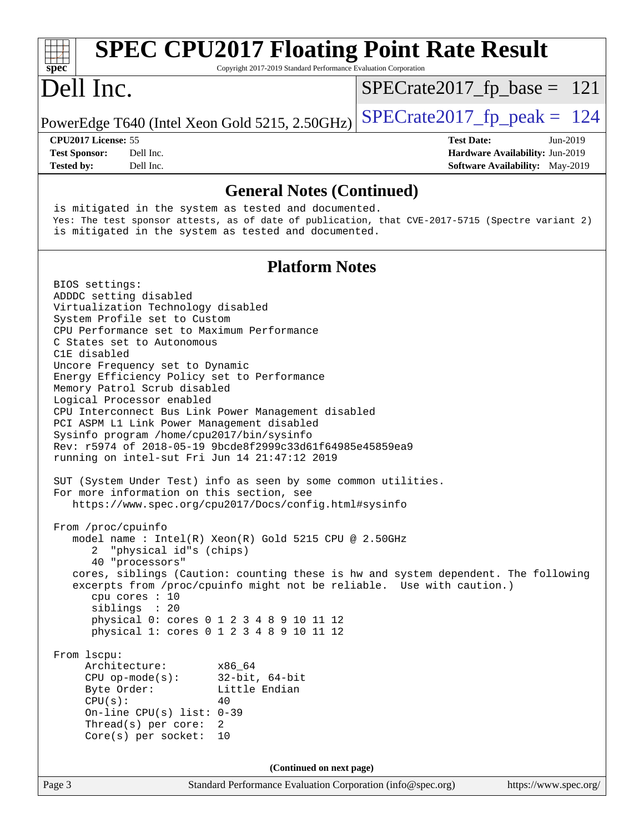| <b>SPEC CPU2017 Floating Point Rate Result</b><br>Copyright 2017-2019 Standard Performance Evaluation Corporation<br>$spec^*$                                                                                                                                                                                                                                                                                                                                                                                                                                                                                                                                                                                                                                                                                                                                                                                                                                                                                                                                                                                                                                                                                                                                                                                                                                                      |                                                                                                            |
|------------------------------------------------------------------------------------------------------------------------------------------------------------------------------------------------------------------------------------------------------------------------------------------------------------------------------------------------------------------------------------------------------------------------------------------------------------------------------------------------------------------------------------------------------------------------------------------------------------------------------------------------------------------------------------------------------------------------------------------------------------------------------------------------------------------------------------------------------------------------------------------------------------------------------------------------------------------------------------------------------------------------------------------------------------------------------------------------------------------------------------------------------------------------------------------------------------------------------------------------------------------------------------------------------------------------------------------------------------------------------------|------------------------------------------------------------------------------------------------------------|
| Dell Inc.                                                                                                                                                                                                                                                                                                                                                                                                                                                                                                                                                                                                                                                                                                                                                                                                                                                                                                                                                                                                                                                                                                                                                                                                                                                                                                                                                                          | $SPECrate2017_fp\_base = 121$                                                                              |
| PowerEdge T640 (Intel Xeon Gold 5215, 2.50GHz)                                                                                                                                                                                                                                                                                                                                                                                                                                                                                                                                                                                                                                                                                                                                                                                                                                                                                                                                                                                                                                                                                                                                                                                                                                                                                                                                     | $SPECTate2017$ _fp_peak = 124                                                                              |
| CPU2017 License: 55<br>Dell Inc.<br><b>Test Sponsor:</b><br>Dell Inc.<br><b>Tested by:</b>                                                                                                                                                                                                                                                                                                                                                                                                                                                                                                                                                                                                                                                                                                                                                                                                                                                                                                                                                                                                                                                                                                                                                                                                                                                                                         | <b>Test Date:</b><br>Jun-2019<br>Hardware Availability: Jun-2019<br><b>Software Availability:</b> May-2019 |
| <b>General Notes (Continued)</b>                                                                                                                                                                                                                                                                                                                                                                                                                                                                                                                                                                                                                                                                                                                                                                                                                                                                                                                                                                                                                                                                                                                                                                                                                                                                                                                                                   |                                                                                                            |
| is mitigated in the system as tested and documented.<br>Yes: The test sponsor attests, as of date of publication, that CVE-2017-5715 (Spectre variant 2)<br>is mitigated in the system as tested and documented.                                                                                                                                                                                                                                                                                                                                                                                                                                                                                                                                                                                                                                                                                                                                                                                                                                                                                                                                                                                                                                                                                                                                                                   |                                                                                                            |
| <b>Platform Notes</b>                                                                                                                                                                                                                                                                                                                                                                                                                                                                                                                                                                                                                                                                                                                                                                                                                                                                                                                                                                                                                                                                                                                                                                                                                                                                                                                                                              |                                                                                                            |
| BIOS settings:<br>ADDDC setting disabled<br>Virtualization Technology disabled<br>System Profile set to Custom<br>CPU Performance set to Maximum Performance<br>C States set to Autonomous<br>C1E disabled<br>Uncore Frequency set to Dynamic<br>Energy Efficiency Policy set to Performance<br>Memory Patrol Scrub disabled<br>Logical Processor enabled<br>CPU Interconnect Bus Link Power Management disabled<br>PCI ASPM L1 Link Power Management disabled<br>Sysinfo program /home/cpu2017/bin/sysinfo<br>Rev: r5974 of 2018-05-19 9bcde8f2999c33d61f64985e45859ea9<br>running on intel-sut Fri Jun 14 21:47:12 2019<br>SUT (System Under Test) info as seen by some common utilities.<br>For more information on this section, see<br>https://www.spec.org/cpu2017/Docs/config.html#sysinfo<br>From /proc/cpuinfo<br>model name: Intel(R) Xeon(R) Gold 5215 CPU @ 2.50GHz<br>"physical id"s (chips)<br>$2 \overline{ }$<br>40 "processors"<br>cores, siblings (Caution: counting these is hw and system dependent. The following<br>excerpts from /proc/cpuinfo might not be reliable. Use with caution.)<br>cpu cores : 10<br>siblings : 20<br>physical 0: cores 0 1 2 3 4 8 9 10 11 12<br>physical 1: cores 0 1 2 3 4 8 9 10 11 12<br>From 1scpu:<br>Architecture:<br>x86_64<br>$CPU$ op-mode(s):<br>$32$ -bit, $64$ -bit<br>Byte Order:<br>Little Endian<br>CPU(s):<br>40 |                                                                                                            |
| Thread(s) per core:<br>2<br>$Core(s)$ per socket: 10                                                                                                                                                                                                                                                                                                                                                                                                                                                                                                                                                                                                                                                                                                                                                                                                                                                                                                                                                                                                                                                                                                                                                                                                                                                                                                                               |                                                                                                            |
| (Continued on next page)                                                                                                                                                                                                                                                                                                                                                                                                                                                                                                                                                                                                                                                                                                                                                                                                                                                                                                                                                                                                                                                                                                                                                                                                                                                                                                                                                           |                                                                                                            |
| Page 3<br>Standard Performance Evaluation Corporation (info@spec.org)                                                                                                                                                                                                                                                                                                                                                                                                                                                                                                                                                                                                                                                                                                                                                                                                                                                                                                                                                                                                                                                                                                                                                                                                                                                                                                              | https://www.spec.org/                                                                                      |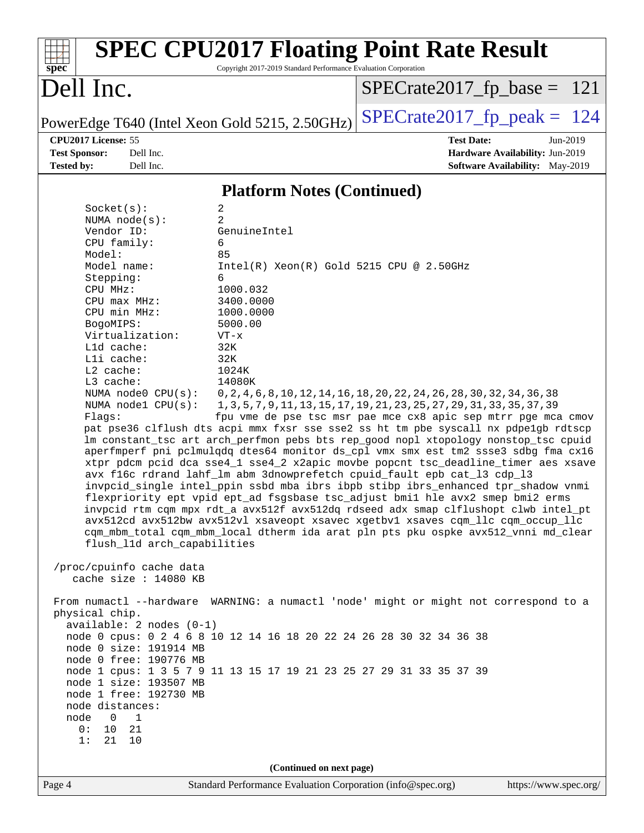| $spec^*$                                                                                                                                                                                                                                                                                                                                                                                                                                                                                                                                                                                     | Copyright 2017-2019 Standard Performance Evaluation Corporation                                                                                                                                                                                                                                                                               | <b>SPEC CPU2017 Floating Point Rate Result</b>                                                                                                                                                                                                                                                                                                                                                                                                                                                                                                                                                                                                                                                                                                                                                                                                                                                                                                                                                                                                                                                                                                                                           |
|----------------------------------------------------------------------------------------------------------------------------------------------------------------------------------------------------------------------------------------------------------------------------------------------------------------------------------------------------------------------------------------------------------------------------------------------------------------------------------------------------------------------------------------------------------------------------------------------|-----------------------------------------------------------------------------------------------------------------------------------------------------------------------------------------------------------------------------------------------------------------------------------------------------------------------------------------------|------------------------------------------------------------------------------------------------------------------------------------------------------------------------------------------------------------------------------------------------------------------------------------------------------------------------------------------------------------------------------------------------------------------------------------------------------------------------------------------------------------------------------------------------------------------------------------------------------------------------------------------------------------------------------------------------------------------------------------------------------------------------------------------------------------------------------------------------------------------------------------------------------------------------------------------------------------------------------------------------------------------------------------------------------------------------------------------------------------------------------------------------------------------------------------------|
| Dell Inc.                                                                                                                                                                                                                                                                                                                                                                                                                                                                                                                                                                                    |                                                                                                                                                                                                                                                                                                                                               | $SPECrate2017_fp\_base = 121$                                                                                                                                                                                                                                                                                                                                                                                                                                                                                                                                                                                                                                                                                                                                                                                                                                                                                                                                                                                                                                                                                                                                                            |
| PowerEdge T640 (Intel Xeon Gold 5215, 2.50GHz)                                                                                                                                                                                                                                                                                                                                                                                                                                                                                                                                               |                                                                                                                                                                                                                                                                                                                                               | $SPECrate2017_fp\_peak = 124$                                                                                                                                                                                                                                                                                                                                                                                                                                                                                                                                                                                                                                                                                                                                                                                                                                                                                                                                                                                                                                                                                                                                                            |
| CPU2017 License: 55<br><b>Test Sponsor:</b><br>Dell Inc.<br><b>Tested by:</b><br>Dell Inc.                                                                                                                                                                                                                                                                                                                                                                                                                                                                                                   |                                                                                                                                                                                                                                                                                                                                               | <b>Test Date:</b><br>Jun-2019<br>Hardware Availability: Jun-2019<br><b>Software Availability:</b> May-2019                                                                                                                                                                                                                                                                                                                                                                                                                                                                                                                                                                                                                                                                                                                                                                                                                                                                                                                                                                                                                                                                               |
|                                                                                                                                                                                                                                                                                                                                                                                                                                                                                                                                                                                              |                                                                                                                                                                                                                                                                                                                                               |                                                                                                                                                                                                                                                                                                                                                                                                                                                                                                                                                                                                                                                                                                                                                                                                                                                                                                                                                                                                                                                                                                                                                                                          |
|                                                                                                                                                                                                                                                                                                                                                                                                                                                                                                                                                                                              | <b>Platform Notes (Continued)</b>                                                                                                                                                                                                                                                                                                             |                                                                                                                                                                                                                                                                                                                                                                                                                                                                                                                                                                                                                                                                                                                                                                                                                                                                                                                                                                                                                                                                                                                                                                                          |
| Socket(s):<br>NUMA $node(s)$ :<br>Vendor ID:<br>CPU family:<br>Model:<br>Model name:<br>Stepping:<br>CPU MHz:<br>CPU max MHz:<br>CPU min MHz:<br>BogoMIPS:<br>Virtualization:<br>L1d cache:<br>Lli cache:<br>$L2$ cache:<br>L3 cache:<br>NUMA node0 CPU(s):<br>NUMA nodel $CPU(s)$ :<br>Flags:<br>flush_11d arch_capabilities<br>/proc/cpuinfo cache data<br>cache size : 14080 KB<br>physical chip.<br>$available: 2 nodes (0-1)$<br>node 0 size: 191914 MB<br>node 0 free: 190776 MB<br>node 1 size: 193507 MB<br>node 1 free: 192730 MB<br>node distances:<br>node<br>$\overline{0}$<br>1 | 2<br>$\overline{2}$<br>GenuineIntel<br>6<br>85<br>$Intel(R) Xeon(R) Gold 5215 CPU @ 2.50GHz$<br>6<br>1000.032<br>3400.0000<br>1000.0000<br>5000.00<br>$VT - x$<br>32K<br>32K<br>1024K<br>14080K<br>node 0 cpus: 0 2 4 6 8 10 12 14 16 18 20 22 24 26 28 30 32 34 36 38<br>node 1 cpus: 1 3 5 7 9 11 13 15 17 19 21 23 25 27 29 31 33 35 37 39 | 0, 2, 4, 6, 8, 10, 12, 14, 16, 18, 20, 22, 24, 26, 28, 30, 32, 34, 36, 38<br>1, 3, 5, 7, 9, 11, 13, 15, 17, 19, 21, 23, 25, 27, 29, 31, 33, 35, 37, 39<br>fpu vme de pse tsc msr pae mce cx8 apic sep mtrr pge mca cmov<br>pat pse36 clflush dts acpi mmx fxsr sse sse2 ss ht tm pbe syscall nx pdpe1gb rdtscp<br>lm constant_tsc art arch_perfmon pebs bts rep_good nopl xtopology nonstop_tsc cpuid<br>aperfmperf pni pclmulqdq dtes64 monitor ds_cpl vmx smx est tm2 ssse3 sdbg fma cx16<br>xtpr pdcm pcid dca sse4_1 sse4_2 x2apic movbe popcnt tsc_deadline_timer aes xsave<br>avx f16c rdrand lahf_lm abm 3dnowprefetch cpuid_fault epb cat_13 cdp_13<br>invpcid_single intel_ppin ssbd mba ibrs ibpb stibp ibrs_enhanced tpr_shadow vnmi<br>flexpriority ept vpid ept_ad fsgsbase tsc_adjust bmil hle avx2 smep bmi2 erms<br>invpcid rtm cqm mpx rdt_a avx512f avx512dq rdseed adx smap clflushopt clwb intel_pt<br>avx512cd avx512bw avx512vl xsaveopt xsavec xgetbvl xsaves cqm_llc cqm_occup_llc<br>cqm_mbm_total cqm_mbm_local dtherm ida arat pln pts pku ospke avx512_vnni md_clear<br>From numactl --hardware WARNING: a numactl 'node' might or might not correspond to a |
| 0:<br>10 21<br>21 10<br>1:                                                                                                                                                                                                                                                                                                                                                                                                                                                                                                                                                                   |                                                                                                                                                                                                                                                                                                                                               |                                                                                                                                                                                                                                                                                                                                                                                                                                                                                                                                                                                                                                                                                                                                                                                                                                                                                                                                                                                                                                                                                                                                                                                          |
|                                                                                                                                                                                                                                                                                                                                                                                                                                                                                                                                                                                              | (Continued on next page)                                                                                                                                                                                                                                                                                                                      |                                                                                                                                                                                                                                                                                                                                                                                                                                                                                                                                                                                                                                                                                                                                                                                                                                                                                                                                                                                                                                                                                                                                                                                          |
| Page 4                                                                                                                                                                                                                                                                                                                                                                                                                                                                                                                                                                                       | Standard Performance Evaluation Corporation (info@spec.org)                                                                                                                                                                                                                                                                                   | https://www.spec.org/                                                                                                                                                                                                                                                                                                                                                                                                                                                                                                                                                                                                                                                                                                                                                                                                                                                                                                                                                                                                                                                                                                                                                                    |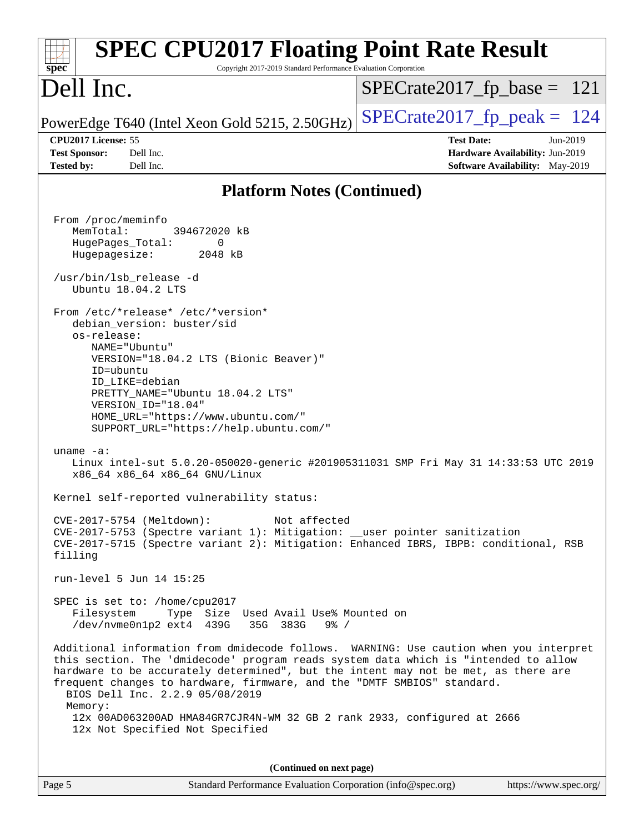| <b>SPEC CPU2017 Floating Point Rate Result</b><br>Copyright 2017-2019 Standard Performance Evaluation Corporation<br>$spec^*$                                                                                                                                                                                                                                                                                                     |                                                                                                     |
|-----------------------------------------------------------------------------------------------------------------------------------------------------------------------------------------------------------------------------------------------------------------------------------------------------------------------------------------------------------------------------------------------------------------------------------|-----------------------------------------------------------------------------------------------------|
| Dell Inc.                                                                                                                                                                                                                                                                                                                                                                                                                         | $SPECrate2017_fp\_base = 121$                                                                       |
| PowerEdge T640 (Intel Xeon Gold 5215, 2.50GHz)                                                                                                                                                                                                                                                                                                                                                                                    | $SPECTate2017$ _fp_peak = 124                                                                       |
| CPU2017 License: 55<br><b>Test Sponsor:</b><br>Dell Inc.<br><b>Tested by:</b><br>Dell Inc.                                                                                                                                                                                                                                                                                                                                        | <b>Test Date:</b><br>Jun-2019<br>Hardware Availability: Jun-2019<br>Software Availability: May-2019 |
| <b>Platform Notes (Continued)</b>                                                                                                                                                                                                                                                                                                                                                                                                 |                                                                                                     |
| From /proc/meminfo<br>MemTotal:<br>394672020 kB<br>HugePages_Total:<br>0<br>Hugepagesize:<br>2048 kB<br>/usr/bin/lsb_release -d<br>Ubuntu 18.04.2 LTS<br>From /etc/*release* /etc/*version*<br>debian_version: buster/sid<br>os-release:<br>NAME="Ubuntu"<br>VERSION="18.04.2 LTS (Bionic Beaver)"<br>ID=ubuntu<br>ID LIKE=debian<br>PRETTY_NAME="Ubuntu 18.04.2 LTS"<br>VERSION_ID="18.04"<br>HOME_URL="https://www.ubuntu.com/" |                                                                                                     |
| SUPPORT_URL="https://help.ubuntu.com/"<br>uname $-a$ :<br>Linux intel-sut 5.0.20-050020-generic #201905311031 SMP Fri May 31 14:33:53 UTC 2019<br>x86_64 x86_64 x86_64 GNU/Linux                                                                                                                                                                                                                                                  |                                                                                                     |
| Kernel self-reported vulnerability status:                                                                                                                                                                                                                                                                                                                                                                                        |                                                                                                     |
| CVE-2017-5754 (Meltdown):<br>Not affected<br>CVE-2017-5753 (Spectre variant 1): Mitigation: __user pointer sanitization<br>CVE-2017-5715 (Spectre variant 2): Mitigation: Enhanced IBRS, IBPB: conditional, RSB<br>filling                                                                                                                                                                                                        |                                                                                                     |
| run-level 5 Jun 14 15:25                                                                                                                                                                                                                                                                                                                                                                                                          |                                                                                                     |
| SPEC is set to: /home/cpu2017<br>Filesystem<br>Type Size Used Avail Use% Mounted on<br>/dev/nvme0n1p2 ext4 439G<br>$9\frac{8}{9}$ /<br>35G 383G                                                                                                                                                                                                                                                                                   |                                                                                                     |
| Additional information from dmidecode follows. WARNING: Use caution when you interpret<br>this section. The 'dmidecode' program reads system data which is "intended to allow<br>hardware to be accurately determined", but the intent may not be met, as there are<br>frequent changes to hardware, firmware, and the "DMTF SMBIOS" standard.<br>BIOS Dell Inc. 2.2.9 05/08/2019<br>Memory:                                      |                                                                                                     |
| 12x 00AD063200AD HMA84GR7CJR4N-WM 32 GB 2 rank 2933, configured at 2666<br>12x Not Specified Not Specified                                                                                                                                                                                                                                                                                                                        |                                                                                                     |
| (Continued on next page)                                                                                                                                                                                                                                                                                                                                                                                                          |                                                                                                     |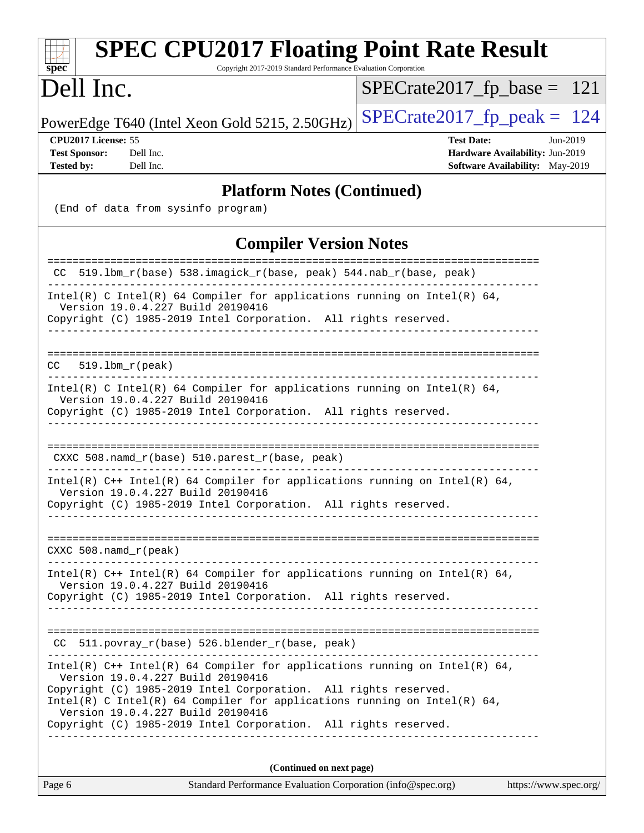| <b>SPEC CPU2017 Floating Point Rate Result</b><br>Copyright 2017-2019 Standard Performance Evaluation Corporation<br>$spec^*$                                                                                                                                                                         |                                                                                                       |
|-------------------------------------------------------------------------------------------------------------------------------------------------------------------------------------------------------------------------------------------------------------------------------------------------------|-------------------------------------------------------------------------------------------------------|
| Dell Inc.                                                                                                                                                                                                                                                                                             | $SPECrate2017_fp\_base = 121$                                                                         |
| PowerEdge T640 (Intel Xeon Gold 5215, 2.50GHz)                                                                                                                                                                                                                                                        | $SPECrate2017_fp\_peak = 124$                                                                         |
| CPU2017 License: 55<br><b>Test Sponsor:</b><br>Dell Inc.<br><b>Tested by:</b><br>Dell Inc.                                                                                                                                                                                                            | <b>Test Date:</b><br>$Jun-2019$<br>Hardware Availability: Jun-2019<br>Software Availability: May-2019 |
| <b>Platform Notes (Continued)</b>                                                                                                                                                                                                                                                                     |                                                                                                       |
| (End of data from sysinfo program)                                                                                                                                                                                                                                                                    |                                                                                                       |
| <b>Compiler Version Notes</b>                                                                                                                                                                                                                                                                         |                                                                                                       |
| CC 519.1bm_r(base) 538.imagick_r(base, peak) 544.nab_r(base, peak)                                                                                                                                                                                                                                    |                                                                                                       |
| Intel(R) C Intel(R) 64 Compiler for applications running on Intel(R) 64,<br>Version 19.0.4.227 Build 20190416<br>Copyright (C) 1985-2019 Intel Corporation. All rights reserved.                                                                                                                      |                                                                                                       |
| $CC = 519.1bm_r (peak)$                                                                                                                                                                                                                                                                               |                                                                                                       |
| Intel(R) C Intel(R) 64 Compiler for applications running on Intel(R) 64,<br>Version 19.0.4.227 Build 20190416<br>Copyright (C) 1985-2019 Intel Corporation. All rights reserved.<br>____________________                                                                                              |                                                                                                       |
| CXXC 508.namd_r(base) 510.parest_r(base, peak)                                                                                                                                                                                                                                                        |                                                                                                       |
| Intel(R) $C++$ Intel(R) 64 Compiler for applications running on Intel(R) 64,<br>Version 19.0.4.227 Build 20190416<br>Copyright (C) 1985-2019 Intel Corporation. All rights reserved.                                                                                                                  |                                                                                                       |
| CXXC 508.namd_r(peak)                                                                                                                                                                                                                                                                                 |                                                                                                       |
| Intel(R) $C++$ Intel(R) 64 Compiler for applications running on Intel(R) 64,<br>Version 19.0.4.227 Build 20190416<br>Copyright (C) 1985-2019 Intel Corporation. All rights reserved.                                                                                                                  |                                                                                                       |
| CC 511.povray_r(base) 526.blender_r(base, peak)                                                                                                                                                                                                                                                       |                                                                                                       |
| Intel(R) $C++$ Intel(R) 64 Compiler for applications running on Intel(R) 64,<br>Version 19.0.4.227 Build 20190416<br>Copyright (C) 1985-2019 Intel Corporation. All rights reserved.<br>Intel(R) C Intel(R) 64 Compiler for applications running on Intel(R) 64,<br>Version 19.0.4.227 Build 20190416 |                                                                                                       |
| Copyright (C) 1985-2019 Intel Corporation. All rights reserved.                                                                                                                                                                                                                                       |                                                                                                       |
|                                                                                                                                                                                                                                                                                                       |                                                                                                       |
| (Continued on next page)<br>Page 6<br>Standard Performance Evaluation Corporation (info@spec.org)                                                                                                                                                                                                     | https://www.spec.org/                                                                                 |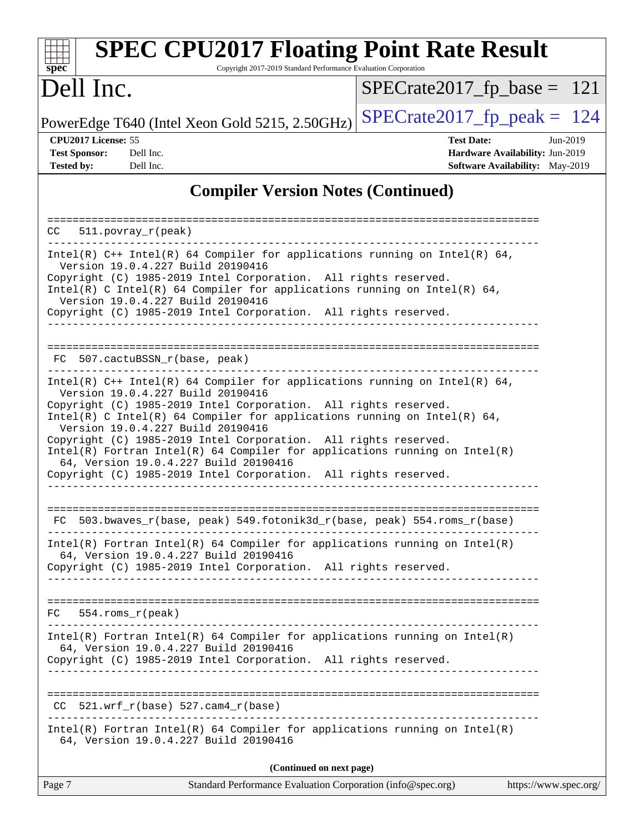| spec <sup>®</sup>                                                | <b>SPEC CPU2017 Floating Point Rate Result</b><br>Copyright 2017-2019 Standard Performance Evaluation Corporation                                                                                                                                                                                                                                                                                                                                                                                                                                                    |                                                                                                     |
|------------------------------------------------------------------|----------------------------------------------------------------------------------------------------------------------------------------------------------------------------------------------------------------------------------------------------------------------------------------------------------------------------------------------------------------------------------------------------------------------------------------------------------------------------------------------------------------------------------------------------------------------|-----------------------------------------------------------------------------------------------------|
| Dell Inc.                                                        |                                                                                                                                                                                                                                                                                                                                                                                                                                                                                                                                                                      | $SPECrate2017_fp\_base = 121$                                                                       |
|                                                                  | PowerEdge T640 (Intel Xeon Gold 5215, 2.50GHz)                                                                                                                                                                                                                                                                                                                                                                                                                                                                                                                       | $SPECrate2017_fp\_peak = 124$                                                                       |
| CPU2017 License: 55<br><b>Test Sponsor:</b><br><b>Tested by:</b> | Dell Inc.<br>Dell Inc.                                                                                                                                                                                                                                                                                                                                                                                                                                                                                                                                               | <b>Test Date:</b><br>Jun-2019<br>Hardware Availability: Jun-2019<br>Software Availability: May-2019 |
|                                                                  | <b>Compiler Version Notes (Continued)</b>                                                                                                                                                                                                                                                                                                                                                                                                                                                                                                                            |                                                                                                     |
| CC.                                                              | $511. povray_r (peak)$                                                                                                                                                                                                                                                                                                                                                                                                                                                                                                                                               |                                                                                                     |
|                                                                  | Intel(R) $C++$ Intel(R) 64 Compiler for applications running on Intel(R) 64,<br>Version 19.0.4.227 Build 20190416<br>Copyright (C) 1985-2019 Intel Corporation. All rights reserved.<br>Intel(R) C Intel(R) 64 Compiler for applications running on Intel(R) 64,<br>Version 19.0.4.227 Build 20190416<br>Copyright (C) 1985-2019 Intel Corporation. All rights reserved.                                                                                                                                                                                             |                                                                                                     |
| FC.                                                              | 507.cactuBSSN_r(base, peak)                                                                                                                                                                                                                                                                                                                                                                                                                                                                                                                                          |                                                                                                     |
|                                                                  | Intel(R) $C++$ Intel(R) 64 Compiler for applications running on Intel(R) 64,<br>Version 19.0.4.227 Build 20190416<br>Copyright (C) 1985-2019 Intel Corporation. All rights reserved.<br>Intel(R) C Intel(R) 64 Compiler for applications running on Intel(R) 64,<br>Version 19.0.4.227 Build 20190416<br>Copyright (C) 1985-2019 Intel Corporation. All rights reserved.<br>$Intel(R)$ Fortran Intel(R) 64 Compiler for applications running on Intel(R)<br>64, Version 19.0.4.227 Build 20190416<br>Copyright (C) 1985-2019 Intel Corporation. All rights reserved. |                                                                                                     |
| FC                                                               | 503.bwaves_r(base, peak) 549.fotonik3d_r(base, peak) 554.roms_r(base)                                                                                                                                                                                                                                                                                                                                                                                                                                                                                                |                                                                                                     |
|                                                                  | $Intel(R)$ Fortran Intel(R) 64 Compiler for applications running on Intel(R)<br>64, Version 19.0.4.227 Build 20190416<br>Copyright (C) 1985-2019 Intel Corporation. All rights reserved.                                                                                                                                                                                                                                                                                                                                                                             |                                                                                                     |
| $FC$ 554. roms $r$ (peak)                                        |                                                                                                                                                                                                                                                                                                                                                                                                                                                                                                                                                                      |                                                                                                     |
|                                                                  | $Intel(R)$ Fortran Intel(R) 64 Compiler for applications running on Intel(R)<br>64, Version 19.0.4.227 Build 20190416<br>Copyright (C) 1985-2019 Intel Corporation. All rights reserved.                                                                                                                                                                                                                                                                                                                                                                             |                                                                                                     |
|                                                                  | $CC$ 521.wrf_r(base) 527.cam4_r(base)                                                                                                                                                                                                                                                                                                                                                                                                                                                                                                                                |                                                                                                     |
|                                                                  | $Intel(R)$ Fortran Intel(R) 64 Compiler for applications running on Intel(R)<br>64, Version 19.0.4.227 Build 20190416                                                                                                                                                                                                                                                                                                                                                                                                                                                |                                                                                                     |
|                                                                  | (Continued on next page)                                                                                                                                                                                                                                                                                                                                                                                                                                                                                                                                             |                                                                                                     |
| Page 7                                                           | Standard Performance Evaluation Corporation (info@spec.org)                                                                                                                                                                                                                                                                                                                                                                                                                                                                                                          | https://www.spec.org/                                                                               |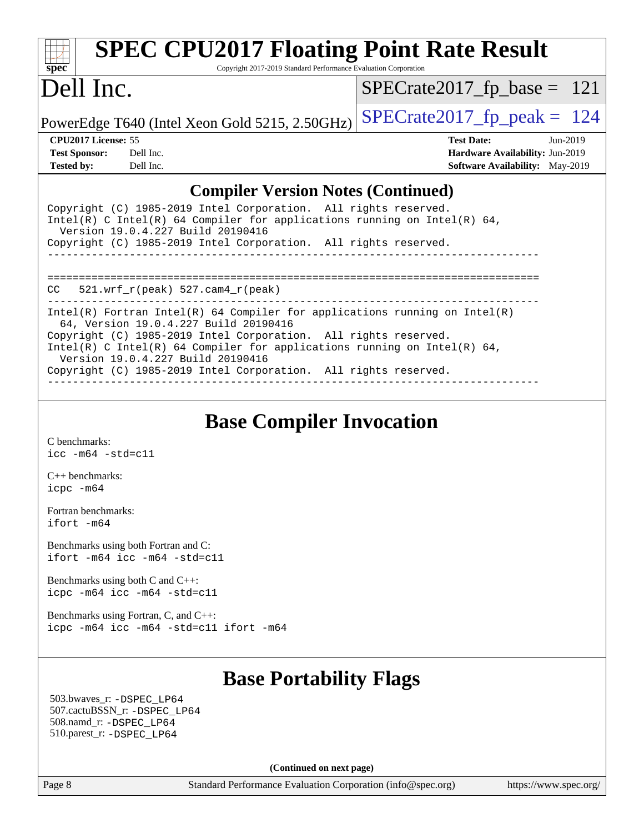| $Spec^*$                                                                 |           | <b>SPEC CPU2017 Floating Point Rate Result</b><br>Copyright 2017-2019 Standard Performance Evaluation Corporation |                               |                   |                                        |            |
|--------------------------------------------------------------------------|-----------|-------------------------------------------------------------------------------------------------------------------|-------------------------------|-------------------|----------------------------------------|------------|
| Dell Inc.                                                                |           |                                                                                                                   | $SPECrate2017_fp\_base = 121$ |                   |                                        |            |
|                                                                          |           | PowerEdge T640 (Intel Xeon Gold 5215, 2.50GHz)                                                                    | $SPECrate2017_fp\_peak = 124$ |                   |                                        |            |
| CPU2017 License: 55                                                      |           |                                                                                                                   |                               | <b>Test Date:</b> |                                        | $Jun-2019$ |
| <b>Test Sponsor:</b>                                                     | Dell Inc. |                                                                                                                   |                               |                   | Hardware Availability: Jun-2019        |            |
| <b>Tested by:</b>                                                        | Dell Inc. |                                                                                                                   |                               |                   | <b>Software Availability:</b> May-2019 |            |
| <b>Compiler Version Notes (Continued)</b>                                |           |                                                                                                                   |                               |                   |                                        |            |
| Copyright (C) 1985-2019 Intel Corporation. All rights reserved.          |           |                                                                                                                   |                               |                   |                                        |            |
| Intel(R) C Intel(R) 64 Compiler for applications running on Intel(R) 64, |           |                                                                                                                   |                               |                   |                                        |            |

------------------------------------------------------------------------------

------------------------------------------------------------------------------

**[Base Compiler Invocation](http://www.spec.org/auto/cpu2017/Docs/result-fields.html#BaseCompilerInvocation)**

==============================================================================

------------------------------------------------------------------------------ Intel(R) Fortran Intel(R) 64 Compiler for applications running on Intel(R)

Intel(R) C Intel(R) 64 Compiler for applications running on Intel(R)  $64$ ,

| Benchmarks using both Fortran and C:<br>ifort $-m64$ icc $-m64$ $-std=cl1$ |  |
|----------------------------------------------------------------------------|--|
| Benchmarks using both $C$ and $C_{++}$ :                                   |  |
| $icpc$ -m64 $icc$ -m64 -std=c11                                            |  |

[Benchmarks using Fortran, C, and C++:](http://www.spec.org/auto/cpu2017/Docs/result-fields.html#BenchmarksusingFortranCandCXX) [icpc -m64](http://www.spec.org/cpu2017/results/res2019q3/cpu2017-20190624-15467.flags.html#user_CC_CXX_FCbase_intel_icpc_64bit_4ecb2543ae3f1412ef961e0650ca070fec7b7afdcd6ed48761b84423119d1bf6bdf5cad15b44d48e7256388bc77273b966e5eb805aefd121eb22e9299b2ec9d9) [icc -m64 -std=c11](http://www.spec.org/cpu2017/results/res2019q3/cpu2017-20190624-15467.flags.html#user_CC_CXX_FCbase_intel_icc_64bit_c11_33ee0cdaae7deeeab2a9725423ba97205ce30f63b9926c2519791662299b76a0318f32ddfffdc46587804de3178b4f9328c46fa7c2b0cd779d7a61945c91cd35) [ifort -m64](http://www.spec.org/cpu2017/results/res2019q3/cpu2017-20190624-15467.flags.html#user_CC_CXX_FCbase_intel_ifort_64bit_24f2bb282fbaeffd6157abe4f878425411749daecae9a33200eee2bee2fe76f3b89351d69a8130dd5949958ce389cf37ff59a95e7a40d588e8d3a57e0c3fd751)

Version 19.0.4.227 Build 20190416

CC 521.wrf\_r(peak) 527.cam4\_r(peak)

Version 19.0.4.227 Build 20190416

64, Version 19.0.4.227 Build 20190416

Copyright (C) 1985-2019 Intel Corporation. All rights reserved.

Copyright (C) 1985-2019 Intel Corporation. All rights reserved.

Copyright (C) 1985-2019 Intel Corporation. All rights reserved.

## **[Base Portability Flags](http://www.spec.org/auto/cpu2017/Docs/result-fields.html#BasePortabilityFlags)**

 503.bwaves\_r: [-DSPEC\\_LP64](http://www.spec.org/cpu2017/results/res2019q3/cpu2017-20190624-15467.flags.html#suite_basePORTABILITY503_bwaves_r_DSPEC_LP64) 507.cactuBSSN\_r: [-DSPEC\\_LP64](http://www.spec.org/cpu2017/results/res2019q3/cpu2017-20190624-15467.flags.html#suite_basePORTABILITY507_cactuBSSN_r_DSPEC_LP64) 508.namd\_r: [-DSPEC\\_LP64](http://www.spec.org/cpu2017/results/res2019q3/cpu2017-20190624-15467.flags.html#suite_basePORTABILITY508_namd_r_DSPEC_LP64) 510.parest\_r: [-DSPEC\\_LP64](http://www.spec.org/cpu2017/results/res2019q3/cpu2017-20190624-15467.flags.html#suite_basePORTABILITY510_parest_r_DSPEC_LP64)

**(Continued on next page)**

[C benchmarks](http://www.spec.org/auto/cpu2017/Docs/result-fields.html#Cbenchmarks):

[C++ benchmarks:](http://www.spec.org/auto/cpu2017/Docs/result-fields.html#CXXbenchmarks) [icpc -m64](http://www.spec.org/cpu2017/results/res2019q3/cpu2017-20190624-15467.flags.html#user_CXXbase_intel_icpc_64bit_4ecb2543ae3f1412ef961e0650ca070fec7b7afdcd6ed48761b84423119d1bf6bdf5cad15b44d48e7256388bc77273b966e5eb805aefd121eb22e9299b2ec9d9)

[Fortran benchmarks](http://www.spec.org/auto/cpu2017/Docs/result-fields.html#Fortranbenchmarks): [ifort -m64](http://www.spec.org/cpu2017/results/res2019q3/cpu2017-20190624-15467.flags.html#user_FCbase_intel_ifort_64bit_24f2bb282fbaeffd6157abe4f878425411749daecae9a33200eee2bee2fe76f3b89351d69a8130dd5949958ce389cf37ff59a95e7a40d588e8d3a57e0c3fd751)

[icc -m64 -std=c11](http://www.spec.org/cpu2017/results/res2019q3/cpu2017-20190624-15467.flags.html#user_CCbase_intel_icc_64bit_c11_33ee0cdaae7deeeab2a9725423ba97205ce30f63b9926c2519791662299b76a0318f32ddfffdc46587804de3178b4f9328c46fa7c2b0cd779d7a61945c91cd35)

Page 8 Standard Performance Evaluation Corporation [\(info@spec.org\)](mailto:info@spec.org) <https://www.spec.org/>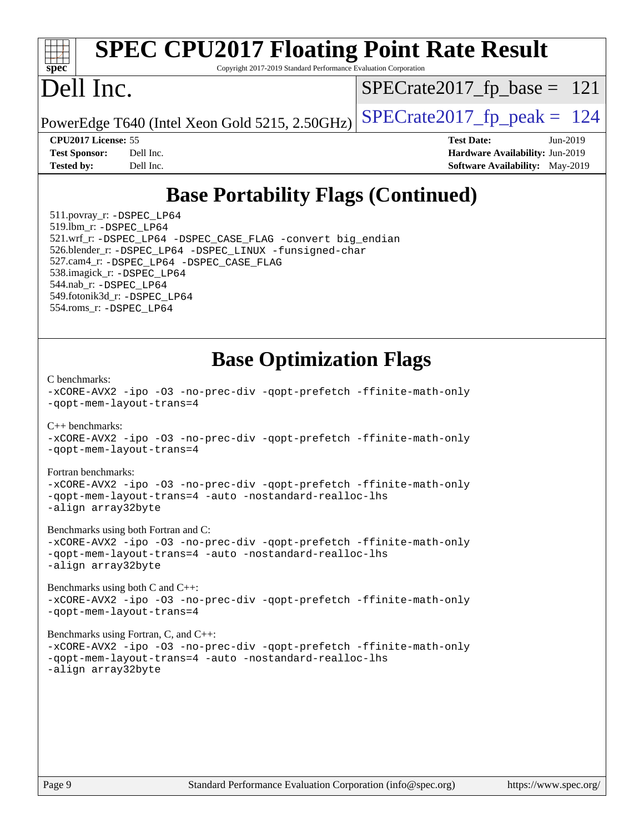# **[spec](http://www.spec.org/)**

# **[SPEC CPU2017 Floating Point Rate Result](http://www.spec.org/auto/cpu2017/Docs/result-fields.html#SPECCPU2017FloatingPointRateResult)**

Copyright 2017-2019 Standard Performance Evaluation Corporation

## Dell Inc.

[SPECrate2017\\_fp\\_base =](http://www.spec.org/auto/cpu2017/Docs/result-fields.html#SPECrate2017fpbase) 121

PowerEdge T640 (Intel Xeon Gold 5215, 2.50GHz)  $\left|$  [SPECrate2017\\_fp\\_peak =](http://www.spec.org/auto/cpu2017/Docs/result-fields.html#SPECrate2017fppeak) 124

**[Tested by:](http://www.spec.org/auto/cpu2017/Docs/result-fields.html#Testedby)** Dell Inc. **[Software Availability:](http://www.spec.org/auto/cpu2017/Docs/result-fields.html#SoftwareAvailability)** May-2019

**[CPU2017 License:](http://www.spec.org/auto/cpu2017/Docs/result-fields.html#CPU2017License)** 55 **[Test Date:](http://www.spec.org/auto/cpu2017/Docs/result-fields.html#TestDate)** Jun-2019 **[Test Sponsor:](http://www.spec.org/auto/cpu2017/Docs/result-fields.html#TestSponsor)** Dell Inc. **[Hardware Availability:](http://www.spec.org/auto/cpu2017/Docs/result-fields.html#HardwareAvailability)** Jun-2019

### **[Base Portability Flags \(Continued\)](http://www.spec.org/auto/cpu2017/Docs/result-fields.html#BasePortabilityFlags)**

 511.povray\_r: [-DSPEC\\_LP64](http://www.spec.org/cpu2017/results/res2019q3/cpu2017-20190624-15467.flags.html#suite_basePORTABILITY511_povray_r_DSPEC_LP64) 519.lbm\_r: [-DSPEC\\_LP64](http://www.spec.org/cpu2017/results/res2019q3/cpu2017-20190624-15467.flags.html#suite_basePORTABILITY519_lbm_r_DSPEC_LP64) 521.wrf\_r: [-DSPEC\\_LP64](http://www.spec.org/cpu2017/results/res2019q3/cpu2017-20190624-15467.flags.html#suite_basePORTABILITY521_wrf_r_DSPEC_LP64) [-DSPEC\\_CASE\\_FLAG](http://www.spec.org/cpu2017/results/res2019q3/cpu2017-20190624-15467.flags.html#b521.wrf_r_baseCPORTABILITY_DSPEC_CASE_FLAG) [-convert big\\_endian](http://www.spec.org/cpu2017/results/res2019q3/cpu2017-20190624-15467.flags.html#user_baseFPORTABILITY521_wrf_r_convert_big_endian_c3194028bc08c63ac5d04de18c48ce6d347e4e562e8892b8bdbdc0214820426deb8554edfa529a3fb25a586e65a3d812c835984020483e7e73212c4d31a38223) 526.blender\_r: [-DSPEC\\_LP64](http://www.spec.org/cpu2017/results/res2019q3/cpu2017-20190624-15467.flags.html#suite_basePORTABILITY526_blender_r_DSPEC_LP64) [-DSPEC\\_LINUX](http://www.spec.org/cpu2017/results/res2019q3/cpu2017-20190624-15467.flags.html#b526.blender_r_baseCPORTABILITY_DSPEC_LINUX) [-funsigned-char](http://www.spec.org/cpu2017/results/res2019q3/cpu2017-20190624-15467.flags.html#user_baseCPORTABILITY526_blender_r_force_uchar_40c60f00ab013830e2dd6774aeded3ff59883ba5a1fc5fc14077f794d777847726e2a5858cbc7672e36e1b067e7e5c1d9a74f7176df07886a243d7cc18edfe67) 527.cam4\_r: [-DSPEC\\_LP64](http://www.spec.org/cpu2017/results/res2019q3/cpu2017-20190624-15467.flags.html#suite_basePORTABILITY527_cam4_r_DSPEC_LP64) [-DSPEC\\_CASE\\_FLAG](http://www.spec.org/cpu2017/results/res2019q3/cpu2017-20190624-15467.flags.html#b527.cam4_r_baseCPORTABILITY_DSPEC_CASE_FLAG) 538.imagick\_r: [-DSPEC\\_LP64](http://www.spec.org/cpu2017/results/res2019q3/cpu2017-20190624-15467.flags.html#suite_basePORTABILITY538_imagick_r_DSPEC_LP64) 544.nab\_r: [-DSPEC\\_LP64](http://www.spec.org/cpu2017/results/res2019q3/cpu2017-20190624-15467.flags.html#suite_basePORTABILITY544_nab_r_DSPEC_LP64) 549.fotonik3d\_r: [-DSPEC\\_LP64](http://www.spec.org/cpu2017/results/res2019q3/cpu2017-20190624-15467.flags.html#suite_basePORTABILITY549_fotonik3d_r_DSPEC_LP64) 554.roms\_r: [-DSPEC\\_LP64](http://www.spec.org/cpu2017/results/res2019q3/cpu2017-20190624-15467.flags.html#suite_basePORTABILITY554_roms_r_DSPEC_LP64)

#### **[Base Optimization Flags](http://www.spec.org/auto/cpu2017/Docs/result-fields.html#BaseOptimizationFlags)**

[C benchmarks](http://www.spec.org/auto/cpu2017/Docs/result-fields.html#Cbenchmarks):

[-xCORE-AVX2](http://www.spec.org/cpu2017/results/res2019q3/cpu2017-20190624-15467.flags.html#user_CCbase_f-xCORE-AVX2) [-ipo](http://www.spec.org/cpu2017/results/res2019q3/cpu2017-20190624-15467.flags.html#user_CCbase_f-ipo) [-O3](http://www.spec.org/cpu2017/results/res2019q3/cpu2017-20190624-15467.flags.html#user_CCbase_f-O3) [-no-prec-div](http://www.spec.org/cpu2017/results/res2019q3/cpu2017-20190624-15467.flags.html#user_CCbase_f-no-prec-div) [-qopt-prefetch](http://www.spec.org/cpu2017/results/res2019q3/cpu2017-20190624-15467.flags.html#user_CCbase_f-qopt-prefetch) [-ffinite-math-only](http://www.spec.org/cpu2017/results/res2019q3/cpu2017-20190624-15467.flags.html#user_CCbase_f_finite_math_only_cb91587bd2077682c4b38af759c288ed7c732db004271a9512da14a4f8007909a5f1427ecbf1a0fb78ff2a814402c6114ac565ca162485bbcae155b5e4258871) [-qopt-mem-layout-trans=4](http://www.spec.org/cpu2017/results/res2019q3/cpu2017-20190624-15467.flags.html#user_CCbase_f-qopt-mem-layout-trans_fa39e755916c150a61361b7846f310bcdf6f04e385ef281cadf3647acec3f0ae266d1a1d22d972a7087a248fd4e6ca390a3634700869573d231a252c784941a8)  $C_{++}$  benchmarks: [-xCORE-AVX2](http://www.spec.org/cpu2017/results/res2019q3/cpu2017-20190624-15467.flags.html#user_CXXbase_f-xCORE-AVX2) [-ipo](http://www.spec.org/cpu2017/results/res2019q3/cpu2017-20190624-15467.flags.html#user_CXXbase_f-ipo) [-O3](http://www.spec.org/cpu2017/results/res2019q3/cpu2017-20190624-15467.flags.html#user_CXXbase_f-O3) [-no-prec-div](http://www.spec.org/cpu2017/results/res2019q3/cpu2017-20190624-15467.flags.html#user_CXXbase_f-no-prec-div) [-qopt-prefetch](http://www.spec.org/cpu2017/results/res2019q3/cpu2017-20190624-15467.flags.html#user_CXXbase_f-qopt-prefetch) [-ffinite-math-only](http://www.spec.org/cpu2017/results/res2019q3/cpu2017-20190624-15467.flags.html#user_CXXbase_f_finite_math_only_cb91587bd2077682c4b38af759c288ed7c732db004271a9512da14a4f8007909a5f1427ecbf1a0fb78ff2a814402c6114ac565ca162485bbcae155b5e4258871) [-qopt-mem-layout-trans=4](http://www.spec.org/cpu2017/results/res2019q3/cpu2017-20190624-15467.flags.html#user_CXXbase_f-qopt-mem-layout-trans_fa39e755916c150a61361b7846f310bcdf6f04e385ef281cadf3647acec3f0ae266d1a1d22d972a7087a248fd4e6ca390a3634700869573d231a252c784941a8) [Fortran benchmarks](http://www.spec.org/auto/cpu2017/Docs/result-fields.html#Fortranbenchmarks): [-xCORE-AVX2](http://www.spec.org/cpu2017/results/res2019q3/cpu2017-20190624-15467.flags.html#user_FCbase_f-xCORE-AVX2) [-ipo](http://www.spec.org/cpu2017/results/res2019q3/cpu2017-20190624-15467.flags.html#user_FCbase_f-ipo) [-O3](http://www.spec.org/cpu2017/results/res2019q3/cpu2017-20190624-15467.flags.html#user_FCbase_f-O3) [-no-prec-div](http://www.spec.org/cpu2017/results/res2019q3/cpu2017-20190624-15467.flags.html#user_FCbase_f-no-prec-div) [-qopt-prefetch](http://www.spec.org/cpu2017/results/res2019q3/cpu2017-20190624-15467.flags.html#user_FCbase_f-qopt-prefetch) [-ffinite-math-only](http://www.spec.org/cpu2017/results/res2019q3/cpu2017-20190624-15467.flags.html#user_FCbase_f_finite_math_only_cb91587bd2077682c4b38af759c288ed7c732db004271a9512da14a4f8007909a5f1427ecbf1a0fb78ff2a814402c6114ac565ca162485bbcae155b5e4258871) [-qopt-mem-layout-trans=4](http://www.spec.org/cpu2017/results/res2019q3/cpu2017-20190624-15467.flags.html#user_FCbase_f-qopt-mem-layout-trans_fa39e755916c150a61361b7846f310bcdf6f04e385ef281cadf3647acec3f0ae266d1a1d22d972a7087a248fd4e6ca390a3634700869573d231a252c784941a8) [-auto](http://www.spec.org/cpu2017/results/res2019q3/cpu2017-20190624-15467.flags.html#user_FCbase_f-auto) [-nostandard-realloc-lhs](http://www.spec.org/cpu2017/results/res2019q3/cpu2017-20190624-15467.flags.html#user_FCbase_f_2003_std_realloc_82b4557e90729c0f113870c07e44d33d6f5a304b4f63d4c15d2d0f1fab99f5daaed73bdb9275d9ae411527f28b936061aa8b9c8f2d63842963b95c9dd6426b8a) [-align array32byte](http://www.spec.org/cpu2017/results/res2019q3/cpu2017-20190624-15467.flags.html#user_FCbase_align_array32byte_b982fe038af199962ba9a80c053b8342c548c85b40b8e86eb3cc33dee0d7986a4af373ac2d51c3f7cf710a18d62fdce2948f201cd044323541f22fc0fffc51b6) [Benchmarks using both Fortran and C](http://www.spec.org/auto/cpu2017/Docs/result-fields.html#BenchmarksusingbothFortranandC): [-xCORE-AVX2](http://www.spec.org/cpu2017/results/res2019q3/cpu2017-20190624-15467.flags.html#user_CC_FCbase_f-xCORE-AVX2) [-ipo](http://www.spec.org/cpu2017/results/res2019q3/cpu2017-20190624-15467.flags.html#user_CC_FCbase_f-ipo) [-O3](http://www.spec.org/cpu2017/results/res2019q3/cpu2017-20190624-15467.flags.html#user_CC_FCbase_f-O3) [-no-prec-div](http://www.spec.org/cpu2017/results/res2019q3/cpu2017-20190624-15467.flags.html#user_CC_FCbase_f-no-prec-div) [-qopt-prefetch](http://www.spec.org/cpu2017/results/res2019q3/cpu2017-20190624-15467.flags.html#user_CC_FCbase_f-qopt-prefetch) [-ffinite-math-only](http://www.spec.org/cpu2017/results/res2019q3/cpu2017-20190624-15467.flags.html#user_CC_FCbase_f_finite_math_only_cb91587bd2077682c4b38af759c288ed7c732db004271a9512da14a4f8007909a5f1427ecbf1a0fb78ff2a814402c6114ac565ca162485bbcae155b5e4258871) [-qopt-mem-layout-trans=4](http://www.spec.org/cpu2017/results/res2019q3/cpu2017-20190624-15467.flags.html#user_CC_FCbase_f-qopt-mem-layout-trans_fa39e755916c150a61361b7846f310bcdf6f04e385ef281cadf3647acec3f0ae266d1a1d22d972a7087a248fd4e6ca390a3634700869573d231a252c784941a8) [-auto](http://www.spec.org/cpu2017/results/res2019q3/cpu2017-20190624-15467.flags.html#user_CC_FCbase_f-auto) [-nostandard-realloc-lhs](http://www.spec.org/cpu2017/results/res2019q3/cpu2017-20190624-15467.flags.html#user_CC_FCbase_f_2003_std_realloc_82b4557e90729c0f113870c07e44d33d6f5a304b4f63d4c15d2d0f1fab99f5daaed73bdb9275d9ae411527f28b936061aa8b9c8f2d63842963b95c9dd6426b8a) [-align array32byte](http://www.spec.org/cpu2017/results/res2019q3/cpu2017-20190624-15467.flags.html#user_CC_FCbase_align_array32byte_b982fe038af199962ba9a80c053b8342c548c85b40b8e86eb3cc33dee0d7986a4af373ac2d51c3f7cf710a18d62fdce2948f201cd044323541f22fc0fffc51b6) [Benchmarks using both C and C++](http://www.spec.org/auto/cpu2017/Docs/result-fields.html#BenchmarksusingbothCandCXX): [-xCORE-AVX2](http://www.spec.org/cpu2017/results/res2019q3/cpu2017-20190624-15467.flags.html#user_CC_CXXbase_f-xCORE-AVX2) [-ipo](http://www.spec.org/cpu2017/results/res2019q3/cpu2017-20190624-15467.flags.html#user_CC_CXXbase_f-ipo) [-O3](http://www.spec.org/cpu2017/results/res2019q3/cpu2017-20190624-15467.flags.html#user_CC_CXXbase_f-O3) [-no-prec-div](http://www.spec.org/cpu2017/results/res2019q3/cpu2017-20190624-15467.flags.html#user_CC_CXXbase_f-no-prec-div) [-qopt-prefetch](http://www.spec.org/cpu2017/results/res2019q3/cpu2017-20190624-15467.flags.html#user_CC_CXXbase_f-qopt-prefetch) [-ffinite-math-only](http://www.spec.org/cpu2017/results/res2019q3/cpu2017-20190624-15467.flags.html#user_CC_CXXbase_f_finite_math_only_cb91587bd2077682c4b38af759c288ed7c732db004271a9512da14a4f8007909a5f1427ecbf1a0fb78ff2a814402c6114ac565ca162485bbcae155b5e4258871) [-qopt-mem-layout-trans=4](http://www.spec.org/cpu2017/results/res2019q3/cpu2017-20190624-15467.flags.html#user_CC_CXXbase_f-qopt-mem-layout-trans_fa39e755916c150a61361b7846f310bcdf6f04e385ef281cadf3647acec3f0ae266d1a1d22d972a7087a248fd4e6ca390a3634700869573d231a252c784941a8) [Benchmarks using Fortran, C, and C++:](http://www.spec.org/auto/cpu2017/Docs/result-fields.html#BenchmarksusingFortranCandCXX) [-xCORE-AVX2](http://www.spec.org/cpu2017/results/res2019q3/cpu2017-20190624-15467.flags.html#user_CC_CXX_FCbase_f-xCORE-AVX2) [-ipo](http://www.spec.org/cpu2017/results/res2019q3/cpu2017-20190624-15467.flags.html#user_CC_CXX_FCbase_f-ipo) [-O3](http://www.spec.org/cpu2017/results/res2019q3/cpu2017-20190624-15467.flags.html#user_CC_CXX_FCbase_f-O3) [-no-prec-div](http://www.spec.org/cpu2017/results/res2019q3/cpu2017-20190624-15467.flags.html#user_CC_CXX_FCbase_f-no-prec-div) [-qopt-prefetch](http://www.spec.org/cpu2017/results/res2019q3/cpu2017-20190624-15467.flags.html#user_CC_CXX_FCbase_f-qopt-prefetch) [-ffinite-math-only](http://www.spec.org/cpu2017/results/res2019q3/cpu2017-20190624-15467.flags.html#user_CC_CXX_FCbase_f_finite_math_only_cb91587bd2077682c4b38af759c288ed7c732db004271a9512da14a4f8007909a5f1427ecbf1a0fb78ff2a814402c6114ac565ca162485bbcae155b5e4258871) [-qopt-mem-layout-trans=4](http://www.spec.org/cpu2017/results/res2019q3/cpu2017-20190624-15467.flags.html#user_CC_CXX_FCbase_f-qopt-mem-layout-trans_fa39e755916c150a61361b7846f310bcdf6f04e385ef281cadf3647acec3f0ae266d1a1d22d972a7087a248fd4e6ca390a3634700869573d231a252c784941a8) [-auto](http://www.spec.org/cpu2017/results/res2019q3/cpu2017-20190624-15467.flags.html#user_CC_CXX_FCbase_f-auto) [-nostandard-realloc-lhs](http://www.spec.org/cpu2017/results/res2019q3/cpu2017-20190624-15467.flags.html#user_CC_CXX_FCbase_f_2003_std_realloc_82b4557e90729c0f113870c07e44d33d6f5a304b4f63d4c15d2d0f1fab99f5daaed73bdb9275d9ae411527f28b936061aa8b9c8f2d63842963b95c9dd6426b8a) [-align array32byte](http://www.spec.org/cpu2017/results/res2019q3/cpu2017-20190624-15467.flags.html#user_CC_CXX_FCbase_align_array32byte_b982fe038af199962ba9a80c053b8342c548c85b40b8e86eb3cc33dee0d7986a4af373ac2d51c3f7cf710a18d62fdce2948f201cd044323541f22fc0fffc51b6)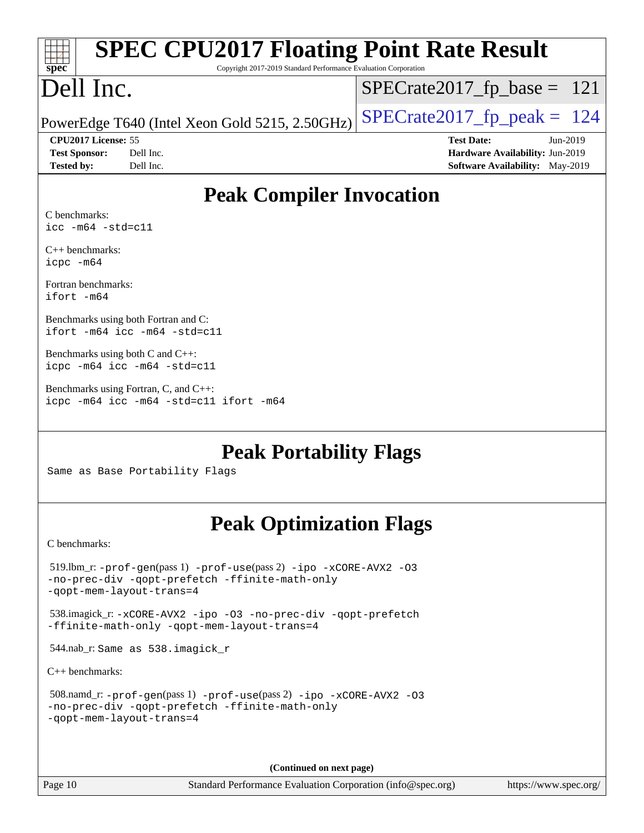|                                             | <b>SPEC CPU2017 Floating Point Rate Result</b>                  |                               |                                        |
|---------------------------------------------|-----------------------------------------------------------------|-------------------------------|----------------------------------------|
| spec                                        | Copyright 2017-2019 Standard Performance Evaluation Corporation |                               |                                        |
| Dell Inc.                                   |                                                                 | $SPECrate2017_fp\_base = 121$ |                                        |
|                                             | PowerEdge T640 (Intel Xeon Gold 5215, 2.50GHz)                  | $SPECrate2017_fp\_peak = 124$ |                                        |
| CPU <sub>2017</sub> License: 55             |                                                                 | <b>Test Date:</b>             | Jun-2019                               |
| <b>Test Sponsor:</b>                        | Dell Inc.                                                       |                               | Hardware Availability: Jun-2019        |
| <b>Tested by:</b>                           | Dell Inc.                                                       |                               | <b>Software Availability:</b> May-2019 |
| C benchmarks:<br>$\text{icc -m64 -std=c11}$ | <b>Peak Compiler Invocation</b>                                 |                               |                                        |

[C++ benchmarks](http://www.spec.org/auto/cpu2017/Docs/result-fields.html#CXXbenchmarks): [icpc -m64](http://www.spec.org/cpu2017/results/res2019q3/cpu2017-20190624-15467.flags.html#user_CXXpeak_intel_icpc_64bit_4ecb2543ae3f1412ef961e0650ca070fec7b7afdcd6ed48761b84423119d1bf6bdf5cad15b44d48e7256388bc77273b966e5eb805aefd121eb22e9299b2ec9d9)

[Fortran benchmarks:](http://www.spec.org/auto/cpu2017/Docs/result-fields.html#Fortranbenchmarks) [ifort -m64](http://www.spec.org/cpu2017/results/res2019q3/cpu2017-20190624-15467.flags.html#user_FCpeak_intel_ifort_64bit_24f2bb282fbaeffd6157abe4f878425411749daecae9a33200eee2bee2fe76f3b89351d69a8130dd5949958ce389cf37ff59a95e7a40d588e8d3a57e0c3fd751)

[Benchmarks using both Fortran and C:](http://www.spec.org/auto/cpu2017/Docs/result-fields.html#BenchmarksusingbothFortranandC) [ifort -m64](http://www.spec.org/cpu2017/results/res2019q3/cpu2017-20190624-15467.flags.html#user_CC_FCpeak_intel_ifort_64bit_24f2bb282fbaeffd6157abe4f878425411749daecae9a33200eee2bee2fe76f3b89351d69a8130dd5949958ce389cf37ff59a95e7a40d588e8d3a57e0c3fd751) [icc -m64 -std=c11](http://www.spec.org/cpu2017/results/res2019q3/cpu2017-20190624-15467.flags.html#user_CC_FCpeak_intel_icc_64bit_c11_33ee0cdaae7deeeab2a9725423ba97205ce30f63b9926c2519791662299b76a0318f32ddfffdc46587804de3178b4f9328c46fa7c2b0cd779d7a61945c91cd35)

[Benchmarks using both C and C++](http://www.spec.org/auto/cpu2017/Docs/result-fields.html#BenchmarksusingbothCandCXX): [icpc -m64](http://www.spec.org/cpu2017/results/res2019q3/cpu2017-20190624-15467.flags.html#user_CC_CXXpeak_intel_icpc_64bit_4ecb2543ae3f1412ef961e0650ca070fec7b7afdcd6ed48761b84423119d1bf6bdf5cad15b44d48e7256388bc77273b966e5eb805aefd121eb22e9299b2ec9d9) [icc -m64 -std=c11](http://www.spec.org/cpu2017/results/res2019q3/cpu2017-20190624-15467.flags.html#user_CC_CXXpeak_intel_icc_64bit_c11_33ee0cdaae7deeeab2a9725423ba97205ce30f63b9926c2519791662299b76a0318f32ddfffdc46587804de3178b4f9328c46fa7c2b0cd779d7a61945c91cd35)

[Benchmarks using Fortran, C, and C++:](http://www.spec.org/auto/cpu2017/Docs/result-fields.html#BenchmarksusingFortranCandCXX) [icpc -m64](http://www.spec.org/cpu2017/results/res2019q3/cpu2017-20190624-15467.flags.html#user_CC_CXX_FCpeak_intel_icpc_64bit_4ecb2543ae3f1412ef961e0650ca070fec7b7afdcd6ed48761b84423119d1bf6bdf5cad15b44d48e7256388bc77273b966e5eb805aefd121eb22e9299b2ec9d9) [icc -m64 -std=c11](http://www.spec.org/cpu2017/results/res2019q3/cpu2017-20190624-15467.flags.html#user_CC_CXX_FCpeak_intel_icc_64bit_c11_33ee0cdaae7deeeab2a9725423ba97205ce30f63b9926c2519791662299b76a0318f32ddfffdc46587804de3178b4f9328c46fa7c2b0cd779d7a61945c91cd35) [ifort -m64](http://www.spec.org/cpu2017/results/res2019q3/cpu2017-20190624-15467.flags.html#user_CC_CXX_FCpeak_intel_ifort_64bit_24f2bb282fbaeffd6157abe4f878425411749daecae9a33200eee2bee2fe76f3b89351d69a8130dd5949958ce389cf37ff59a95e7a40d588e8d3a57e0c3fd751)

**[Peak Portability Flags](http://www.spec.org/auto/cpu2017/Docs/result-fields.html#PeakPortabilityFlags)**

Same as Base Portability Flags

#### **[Peak Optimization Flags](http://www.spec.org/auto/cpu2017/Docs/result-fields.html#PeakOptimizationFlags)**

[C benchmarks](http://www.spec.org/auto/cpu2017/Docs/result-fields.html#Cbenchmarks):

```
 519.lbm_r: -prof-gen(pass 1) -prof-use(pass 2) -ipo -xCORE-AVX2 -O3
-no-prec-div -qopt-prefetch -ffinite-math-only
-qopt-mem-layout-trans=4
 538.imagick_r: -xCORE-AVX2 -ipo -O3 -no-prec-div -qopt-prefetch
-ffinite-math-only -qopt-mem-layout-trans=4
 544.nab_r: Same as 538.imagick_r
C++ benchmarks: 
 508.namd_r: -prof-gen(pass 1) -prof-use(pass 2) -ipo -xCORE-AVX2 -O3
-no-prec-div -qopt-prefetch -ffinite-math-only
-qopt-mem-layout-trans=4
```
**(Continued on next page)**

Page 10 Standard Performance Evaluation Corporation [\(info@spec.org\)](mailto:info@spec.org) <https://www.spec.org/>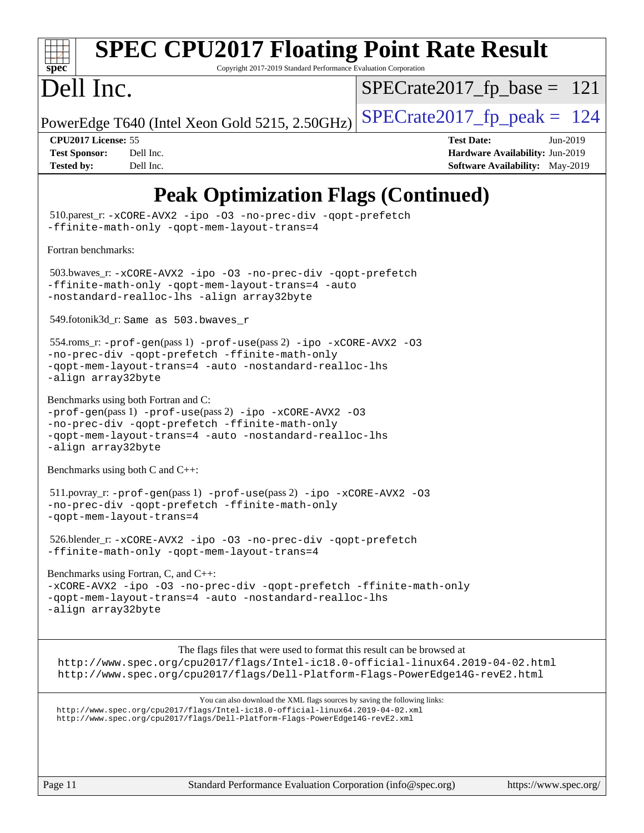![](_page_10_Picture_0.jpeg)

# **[SPEC CPU2017 Floating Point Rate Result](http://www.spec.org/auto/cpu2017/Docs/result-fields.html#SPECCPU2017FloatingPointRateResult)**

Copyright 2017-2019 Standard Performance Evaluation Corporation

## Dell Inc.

 $SPECTate2017_fp\_base = 121$ 

PowerEdge T640 (Intel Xeon Gold 5215, 2.50GHz)  $\left|$  [SPECrate2017\\_fp\\_peak =](http://www.spec.org/auto/cpu2017/Docs/result-fields.html#SPECrate2017fppeak) 124

**[CPU2017 License:](http://www.spec.org/auto/cpu2017/Docs/result-fields.html#CPU2017License)** 55 **[Test Date:](http://www.spec.org/auto/cpu2017/Docs/result-fields.html#TestDate)** Jun-2019 **[Test Sponsor:](http://www.spec.org/auto/cpu2017/Docs/result-fields.html#TestSponsor)** Dell Inc. **[Hardware Availability:](http://www.spec.org/auto/cpu2017/Docs/result-fields.html#HardwareAvailability)** Jun-2019 **[Tested by:](http://www.spec.org/auto/cpu2017/Docs/result-fields.html#Testedby)** Dell Inc. Dell Inc. **[Software Availability:](http://www.spec.org/auto/cpu2017/Docs/result-fields.html#SoftwareAvailability)** May-2019

## **[Peak Optimization Flags \(Continued\)](http://www.spec.org/auto/cpu2017/Docs/result-fields.html#PeakOptimizationFlags)**

 510.parest\_r: [-xCORE-AVX2](http://www.spec.org/cpu2017/results/res2019q3/cpu2017-20190624-15467.flags.html#user_peakCXXOPTIMIZE510_parest_r_f-xCORE-AVX2) [-ipo](http://www.spec.org/cpu2017/results/res2019q3/cpu2017-20190624-15467.flags.html#user_peakCXXOPTIMIZE510_parest_r_f-ipo) [-O3](http://www.spec.org/cpu2017/results/res2019q3/cpu2017-20190624-15467.flags.html#user_peakCXXOPTIMIZE510_parest_r_f-O3) [-no-prec-div](http://www.spec.org/cpu2017/results/res2019q3/cpu2017-20190624-15467.flags.html#user_peakCXXOPTIMIZE510_parest_r_f-no-prec-div) [-qopt-prefetch](http://www.spec.org/cpu2017/results/res2019q3/cpu2017-20190624-15467.flags.html#user_peakCXXOPTIMIZE510_parest_r_f-qopt-prefetch) [-ffinite-math-only](http://www.spec.org/cpu2017/results/res2019q3/cpu2017-20190624-15467.flags.html#user_peakCXXOPTIMIZE510_parest_r_f_finite_math_only_cb91587bd2077682c4b38af759c288ed7c732db004271a9512da14a4f8007909a5f1427ecbf1a0fb78ff2a814402c6114ac565ca162485bbcae155b5e4258871) [-qopt-mem-layout-trans=4](http://www.spec.org/cpu2017/results/res2019q3/cpu2017-20190624-15467.flags.html#user_peakCXXOPTIMIZE510_parest_r_f-qopt-mem-layout-trans_fa39e755916c150a61361b7846f310bcdf6f04e385ef281cadf3647acec3f0ae266d1a1d22d972a7087a248fd4e6ca390a3634700869573d231a252c784941a8) [Fortran benchmarks](http://www.spec.org/auto/cpu2017/Docs/result-fields.html#Fortranbenchmarks): 503.bwaves\_r: [-xCORE-AVX2](http://www.spec.org/cpu2017/results/res2019q3/cpu2017-20190624-15467.flags.html#user_peakFOPTIMIZE503_bwaves_r_f-xCORE-AVX2) [-ipo](http://www.spec.org/cpu2017/results/res2019q3/cpu2017-20190624-15467.flags.html#user_peakFOPTIMIZE503_bwaves_r_f-ipo) [-O3](http://www.spec.org/cpu2017/results/res2019q3/cpu2017-20190624-15467.flags.html#user_peakFOPTIMIZE503_bwaves_r_f-O3) [-no-prec-div](http://www.spec.org/cpu2017/results/res2019q3/cpu2017-20190624-15467.flags.html#user_peakFOPTIMIZE503_bwaves_r_f-no-prec-div) [-qopt-prefetch](http://www.spec.org/cpu2017/results/res2019q3/cpu2017-20190624-15467.flags.html#user_peakFOPTIMIZE503_bwaves_r_f-qopt-prefetch) [-ffinite-math-only](http://www.spec.org/cpu2017/results/res2019q3/cpu2017-20190624-15467.flags.html#user_peakFOPTIMIZE503_bwaves_r_f_finite_math_only_cb91587bd2077682c4b38af759c288ed7c732db004271a9512da14a4f8007909a5f1427ecbf1a0fb78ff2a814402c6114ac565ca162485bbcae155b5e4258871) [-qopt-mem-layout-trans=4](http://www.spec.org/cpu2017/results/res2019q3/cpu2017-20190624-15467.flags.html#user_peakFOPTIMIZE503_bwaves_r_f-qopt-mem-layout-trans_fa39e755916c150a61361b7846f310bcdf6f04e385ef281cadf3647acec3f0ae266d1a1d22d972a7087a248fd4e6ca390a3634700869573d231a252c784941a8) [-auto](http://www.spec.org/cpu2017/results/res2019q3/cpu2017-20190624-15467.flags.html#user_peakFOPTIMIZE503_bwaves_r_f-auto) [-nostandard-realloc-lhs](http://www.spec.org/cpu2017/results/res2019q3/cpu2017-20190624-15467.flags.html#user_peakEXTRA_FOPTIMIZE503_bwaves_r_f_2003_std_realloc_82b4557e90729c0f113870c07e44d33d6f5a304b4f63d4c15d2d0f1fab99f5daaed73bdb9275d9ae411527f28b936061aa8b9c8f2d63842963b95c9dd6426b8a) [-align array32byte](http://www.spec.org/cpu2017/results/res2019q3/cpu2017-20190624-15467.flags.html#user_peakEXTRA_FOPTIMIZE503_bwaves_r_align_array32byte_b982fe038af199962ba9a80c053b8342c548c85b40b8e86eb3cc33dee0d7986a4af373ac2d51c3f7cf710a18d62fdce2948f201cd044323541f22fc0fffc51b6) 549.fotonik3d\_r: Same as 503.bwaves\_r 554.roms\_r: [-prof-gen](http://www.spec.org/cpu2017/results/res2019q3/cpu2017-20190624-15467.flags.html#user_peakPASS1_FFLAGSPASS1_LDFLAGS554_roms_r_prof_gen_5aa4926d6013ddb2a31985c654b3eb18169fc0c6952a63635c234f711e6e63dd76e94ad52365559451ec499a2cdb89e4dc58ba4c67ef54ca681ffbe1461d6b36)(pass 1) [-prof-use](http://www.spec.org/cpu2017/results/res2019q3/cpu2017-20190624-15467.flags.html#user_peakPASS2_FFLAGSPASS2_LDFLAGS554_roms_r_prof_use_1a21ceae95f36a2b53c25747139a6c16ca95bd9def2a207b4f0849963b97e94f5260e30a0c64f4bb623698870e679ca08317ef8150905d41bd88c6f78df73f19)(pass 2) [-ipo](http://www.spec.org/cpu2017/results/res2019q3/cpu2017-20190624-15467.flags.html#user_peakPASS1_FOPTIMIZEPASS2_FOPTIMIZE554_roms_r_f-ipo) [-xCORE-AVX2](http://www.spec.org/cpu2017/results/res2019q3/cpu2017-20190624-15467.flags.html#user_peakPASS2_FOPTIMIZE554_roms_r_f-xCORE-AVX2) [-O3](http://www.spec.org/cpu2017/results/res2019q3/cpu2017-20190624-15467.flags.html#user_peakPASS1_FOPTIMIZEPASS2_FOPTIMIZE554_roms_r_f-O3) [-no-prec-div](http://www.spec.org/cpu2017/results/res2019q3/cpu2017-20190624-15467.flags.html#user_peakPASS1_FOPTIMIZEPASS2_FOPTIMIZE554_roms_r_f-no-prec-div) [-qopt-prefetch](http://www.spec.org/cpu2017/results/res2019q3/cpu2017-20190624-15467.flags.html#user_peakPASS1_FOPTIMIZEPASS2_FOPTIMIZE554_roms_r_f-qopt-prefetch) [-ffinite-math-only](http://www.spec.org/cpu2017/results/res2019q3/cpu2017-20190624-15467.flags.html#user_peakPASS1_FOPTIMIZEPASS2_FOPTIMIZE554_roms_r_f_finite_math_only_cb91587bd2077682c4b38af759c288ed7c732db004271a9512da14a4f8007909a5f1427ecbf1a0fb78ff2a814402c6114ac565ca162485bbcae155b5e4258871) [-qopt-mem-layout-trans=4](http://www.spec.org/cpu2017/results/res2019q3/cpu2017-20190624-15467.flags.html#user_peakPASS1_FOPTIMIZEPASS2_FOPTIMIZE554_roms_r_f-qopt-mem-layout-trans_fa39e755916c150a61361b7846f310bcdf6f04e385ef281cadf3647acec3f0ae266d1a1d22d972a7087a248fd4e6ca390a3634700869573d231a252c784941a8) [-auto](http://www.spec.org/cpu2017/results/res2019q3/cpu2017-20190624-15467.flags.html#user_peakPASS2_FOPTIMIZE554_roms_r_f-auto) [-nostandard-realloc-lhs](http://www.spec.org/cpu2017/results/res2019q3/cpu2017-20190624-15467.flags.html#user_peakEXTRA_FOPTIMIZE554_roms_r_f_2003_std_realloc_82b4557e90729c0f113870c07e44d33d6f5a304b4f63d4c15d2d0f1fab99f5daaed73bdb9275d9ae411527f28b936061aa8b9c8f2d63842963b95c9dd6426b8a) [-align array32byte](http://www.spec.org/cpu2017/results/res2019q3/cpu2017-20190624-15467.flags.html#user_peakEXTRA_FOPTIMIZE554_roms_r_align_array32byte_b982fe038af199962ba9a80c053b8342c548c85b40b8e86eb3cc33dee0d7986a4af373ac2d51c3f7cf710a18d62fdce2948f201cd044323541f22fc0fffc51b6) [Benchmarks using both Fortran and C](http://www.spec.org/auto/cpu2017/Docs/result-fields.html#BenchmarksusingbothFortranandC): [-prof-gen](http://www.spec.org/cpu2017/results/res2019q3/cpu2017-20190624-15467.flags.html#user_CC_FCpeak_prof_gen_5aa4926d6013ddb2a31985c654b3eb18169fc0c6952a63635c234f711e6e63dd76e94ad52365559451ec499a2cdb89e4dc58ba4c67ef54ca681ffbe1461d6b36)(pass 1) [-prof-use](http://www.spec.org/cpu2017/results/res2019q3/cpu2017-20190624-15467.flags.html#user_CC_FCpeak_prof_use_1a21ceae95f36a2b53c25747139a6c16ca95bd9def2a207b4f0849963b97e94f5260e30a0c64f4bb623698870e679ca08317ef8150905d41bd88c6f78df73f19)(pass 2) [-ipo](http://www.spec.org/cpu2017/results/res2019q3/cpu2017-20190624-15467.flags.html#user_CC_FCpeak_f-ipo) [-xCORE-AVX2](http://www.spec.org/cpu2017/results/res2019q3/cpu2017-20190624-15467.flags.html#user_CC_FCpeak_f-xCORE-AVX2) [-O3](http://www.spec.org/cpu2017/results/res2019q3/cpu2017-20190624-15467.flags.html#user_CC_FCpeak_f-O3) [-no-prec-div](http://www.spec.org/cpu2017/results/res2019q3/cpu2017-20190624-15467.flags.html#user_CC_FCpeak_f-no-prec-div) [-qopt-prefetch](http://www.spec.org/cpu2017/results/res2019q3/cpu2017-20190624-15467.flags.html#user_CC_FCpeak_f-qopt-prefetch) [-ffinite-math-only](http://www.spec.org/cpu2017/results/res2019q3/cpu2017-20190624-15467.flags.html#user_CC_FCpeak_f_finite_math_only_cb91587bd2077682c4b38af759c288ed7c732db004271a9512da14a4f8007909a5f1427ecbf1a0fb78ff2a814402c6114ac565ca162485bbcae155b5e4258871) [-qopt-mem-layout-trans=4](http://www.spec.org/cpu2017/results/res2019q3/cpu2017-20190624-15467.flags.html#user_CC_FCpeak_f-qopt-mem-layout-trans_fa39e755916c150a61361b7846f310bcdf6f04e385ef281cadf3647acec3f0ae266d1a1d22d972a7087a248fd4e6ca390a3634700869573d231a252c784941a8) [-auto](http://www.spec.org/cpu2017/results/res2019q3/cpu2017-20190624-15467.flags.html#user_CC_FCpeak_f-auto) [-nostandard-realloc-lhs](http://www.spec.org/cpu2017/results/res2019q3/cpu2017-20190624-15467.flags.html#user_CC_FCpeak_f_2003_std_realloc_82b4557e90729c0f113870c07e44d33d6f5a304b4f63d4c15d2d0f1fab99f5daaed73bdb9275d9ae411527f28b936061aa8b9c8f2d63842963b95c9dd6426b8a) [-align array32byte](http://www.spec.org/cpu2017/results/res2019q3/cpu2017-20190624-15467.flags.html#user_CC_FCpeak_align_array32byte_b982fe038af199962ba9a80c053b8342c548c85b40b8e86eb3cc33dee0d7986a4af373ac2d51c3f7cf710a18d62fdce2948f201cd044323541f22fc0fffc51b6) [Benchmarks using both C and C++](http://www.spec.org/auto/cpu2017/Docs/result-fields.html#BenchmarksusingbothCandCXX): 511.povray\_r: [-prof-gen](http://www.spec.org/cpu2017/results/res2019q3/cpu2017-20190624-15467.flags.html#user_peakPASS1_CFLAGSPASS1_CXXFLAGSPASS1_LDFLAGS511_povray_r_prof_gen_5aa4926d6013ddb2a31985c654b3eb18169fc0c6952a63635c234f711e6e63dd76e94ad52365559451ec499a2cdb89e4dc58ba4c67ef54ca681ffbe1461d6b36)(pass 1) [-prof-use](http://www.spec.org/cpu2017/results/res2019q3/cpu2017-20190624-15467.flags.html#user_peakPASS2_CFLAGSPASS2_CXXFLAGSPASS2_LDFLAGS511_povray_r_prof_use_1a21ceae95f36a2b53c25747139a6c16ca95bd9def2a207b4f0849963b97e94f5260e30a0c64f4bb623698870e679ca08317ef8150905d41bd88c6f78df73f19)(pass 2) [-ipo](http://www.spec.org/cpu2017/results/res2019q3/cpu2017-20190624-15467.flags.html#user_peakPASS1_COPTIMIZEPASS1_CXXOPTIMIZEPASS2_COPTIMIZEPASS2_CXXOPTIMIZE511_povray_r_f-ipo) [-xCORE-AVX2](http://www.spec.org/cpu2017/results/res2019q3/cpu2017-20190624-15467.flags.html#user_peakPASS2_COPTIMIZEPASS2_CXXOPTIMIZE511_povray_r_f-xCORE-AVX2) [-O3](http://www.spec.org/cpu2017/results/res2019q3/cpu2017-20190624-15467.flags.html#user_peakPASS1_COPTIMIZEPASS1_CXXOPTIMIZEPASS2_COPTIMIZEPASS2_CXXOPTIMIZE511_povray_r_f-O3) [-no-prec-div](http://www.spec.org/cpu2017/results/res2019q3/cpu2017-20190624-15467.flags.html#user_peakPASS1_COPTIMIZEPASS1_CXXOPTIMIZEPASS2_COPTIMIZEPASS2_CXXOPTIMIZE511_povray_r_f-no-prec-div) [-qopt-prefetch](http://www.spec.org/cpu2017/results/res2019q3/cpu2017-20190624-15467.flags.html#user_peakPASS1_COPTIMIZEPASS1_CXXOPTIMIZEPASS2_COPTIMIZEPASS2_CXXOPTIMIZE511_povray_r_f-qopt-prefetch) [-ffinite-math-only](http://www.spec.org/cpu2017/results/res2019q3/cpu2017-20190624-15467.flags.html#user_peakPASS1_COPTIMIZEPASS1_CXXOPTIMIZEPASS2_COPTIMIZEPASS2_CXXOPTIMIZE511_povray_r_f_finite_math_only_cb91587bd2077682c4b38af759c288ed7c732db004271a9512da14a4f8007909a5f1427ecbf1a0fb78ff2a814402c6114ac565ca162485bbcae155b5e4258871) [-qopt-mem-layout-trans=4](http://www.spec.org/cpu2017/results/res2019q3/cpu2017-20190624-15467.flags.html#user_peakPASS1_COPTIMIZEPASS1_CXXOPTIMIZEPASS2_COPTIMIZEPASS2_CXXOPTIMIZE511_povray_r_f-qopt-mem-layout-trans_fa39e755916c150a61361b7846f310bcdf6f04e385ef281cadf3647acec3f0ae266d1a1d22d972a7087a248fd4e6ca390a3634700869573d231a252c784941a8) 526.blender\_r: [-xCORE-AVX2](http://www.spec.org/cpu2017/results/res2019q3/cpu2017-20190624-15467.flags.html#user_peakCOPTIMIZECXXOPTIMIZE526_blender_r_f-xCORE-AVX2) [-ipo](http://www.spec.org/cpu2017/results/res2019q3/cpu2017-20190624-15467.flags.html#user_peakCOPTIMIZECXXOPTIMIZE526_blender_r_f-ipo) [-O3](http://www.spec.org/cpu2017/results/res2019q3/cpu2017-20190624-15467.flags.html#user_peakCOPTIMIZECXXOPTIMIZE526_blender_r_f-O3) [-no-prec-div](http://www.spec.org/cpu2017/results/res2019q3/cpu2017-20190624-15467.flags.html#user_peakCOPTIMIZECXXOPTIMIZE526_blender_r_f-no-prec-div) [-qopt-prefetch](http://www.spec.org/cpu2017/results/res2019q3/cpu2017-20190624-15467.flags.html#user_peakCOPTIMIZECXXOPTIMIZE526_blender_r_f-qopt-prefetch) [-ffinite-math-only](http://www.spec.org/cpu2017/results/res2019q3/cpu2017-20190624-15467.flags.html#user_peakCOPTIMIZECXXOPTIMIZE526_blender_r_f_finite_math_only_cb91587bd2077682c4b38af759c288ed7c732db004271a9512da14a4f8007909a5f1427ecbf1a0fb78ff2a814402c6114ac565ca162485bbcae155b5e4258871) [-qopt-mem-layout-trans=4](http://www.spec.org/cpu2017/results/res2019q3/cpu2017-20190624-15467.flags.html#user_peakCOPTIMIZECXXOPTIMIZE526_blender_r_f-qopt-mem-layout-trans_fa39e755916c150a61361b7846f310bcdf6f04e385ef281cadf3647acec3f0ae266d1a1d22d972a7087a248fd4e6ca390a3634700869573d231a252c784941a8) [Benchmarks using Fortran, C, and C++:](http://www.spec.org/auto/cpu2017/Docs/result-fields.html#BenchmarksusingFortranCandCXX) [-xCORE-AVX2](http://www.spec.org/cpu2017/results/res2019q3/cpu2017-20190624-15467.flags.html#user_CC_CXX_FCpeak_f-xCORE-AVX2) [-ipo](http://www.spec.org/cpu2017/results/res2019q3/cpu2017-20190624-15467.flags.html#user_CC_CXX_FCpeak_f-ipo) [-O3](http://www.spec.org/cpu2017/results/res2019q3/cpu2017-20190624-15467.flags.html#user_CC_CXX_FCpeak_f-O3) [-no-prec-div](http://www.spec.org/cpu2017/results/res2019q3/cpu2017-20190624-15467.flags.html#user_CC_CXX_FCpeak_f-no-prec-div) [-qopt-prefetch](http://www.spec.org/cpu2017/results/res2019q3/cpu2017-20190624-15467.flags.html#user_CC_CXX_FCpeak_f-qopt-prefetch) [-ffinite-math-only](http://www.spec.org/cpu2017/results/res2019q3/cpu2017-20190624-15467.flags.html#user_CC_CXX_FCpeak_f_finite_math_only_cb91587bd2077682c4b38af759c288ed7c732db004271a9512da14a4f8007909a5f1427ecbf1a0fb78ff2a814402c6114ac565ca162485bbcae155b5e4258871) [-qopt-mem-layout-trans=4](http://www.spec.org/cpu2017/results/res2019q3/cpu2017-20190624-15467.flags.html#user_CC_CXX_FCpeak_f-qopt-mem-layout-trans_fa39e755916c150a61361b7846f310bcdf6f04e385ef281cadf3647acec3f0ae266d1a1d22d972a7087a248fd4e6ca390a3634700869573d231a252c784941a8) [-auto](http://www.spec.org/cpu2017/results/res2019q3/cpu2017-20190624-15467.flags.html#user_CC_CXX_FCpeak_f-auto) [-nostandard-realloc-lhs](http://www.spec.org/cpu2017/results/res2019q3/cpu2017-20190624-15467.flags.html#user_CC_CXX_FCpeak_f_2003_std_realloc_82b4557e90729c0f113870c07e44d33d6f5a304b4f63d4c15d2d0f1fab99f5daaed73bdb9275d9ae411527f28b936061aa8b9c8f2d63842963b95c9dd6426b8a) [-align array32byte](http://www.spec.org/cpu2017/results/res2019q3/cpu2017-20190624-15467.flags.html#user_CC_CXX_FCpeak_align_array32byte_b982fe038af199962ba9a80c053b8342c548c85b40b8e86eb3cc33dee0d7986a4af373ac2d51c3f7cf710a18d62fdce2948f201cd044323541f22fc0fffc51b6) The flags files that were used to format this result can be browsed at <http://www.spec.org/cpu2017/flags/Intel-ic18.0-official-linux64.2019-04-02.html> <http://www.spec.org/cpu2017/flags/Dell-Platform-Flags-PowerEdge14G-revE2.html> You can also download the XML flags sources by saving the following links: <http://www.spec.org/cpu2017/flags/Intel-ic18.0-official-linux64.2019-04-02.xml> <http://www.spec.org/cpu2017/flags/Dell-Platform-Flags-PowerEdge14G-revE2.xml>